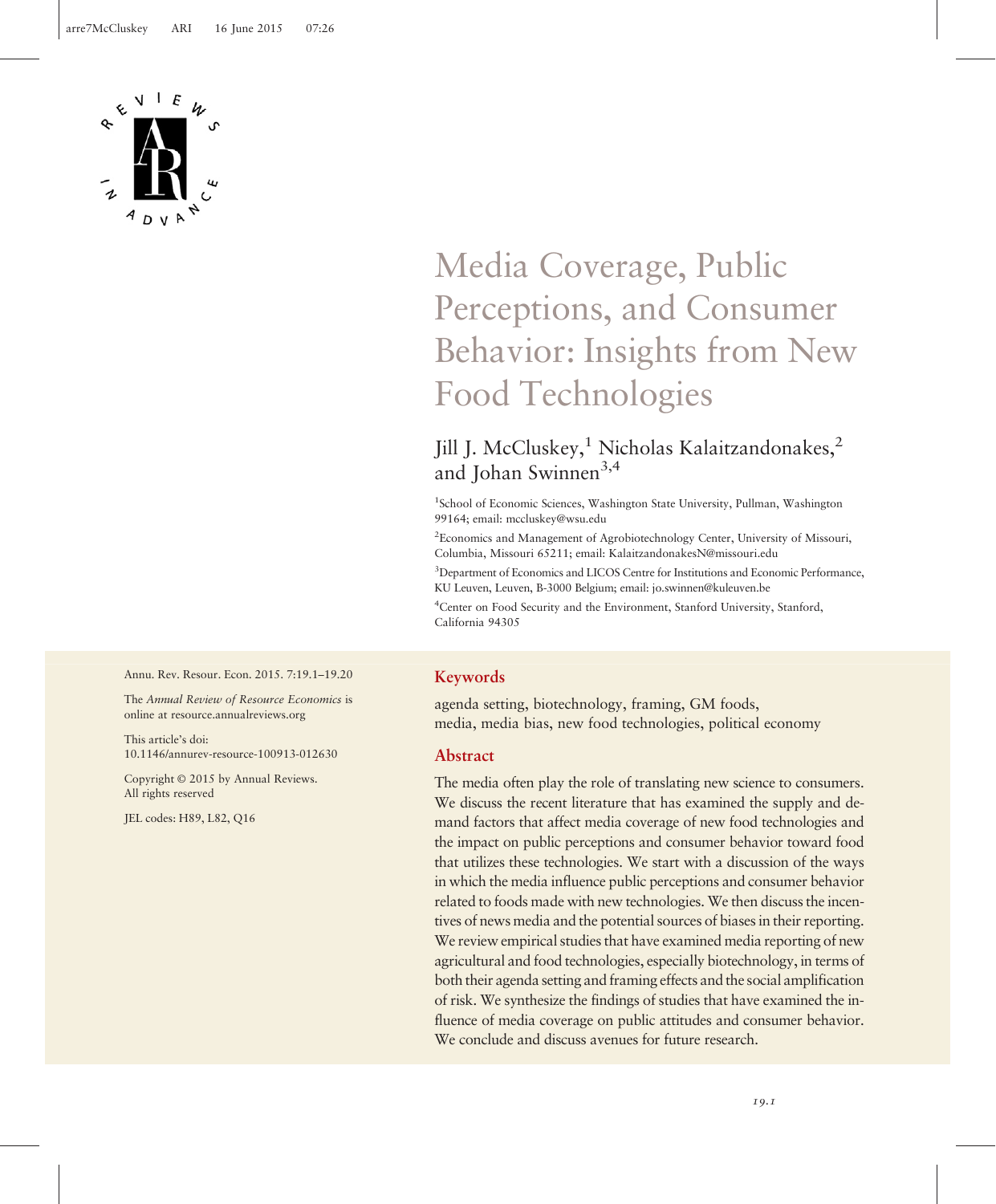

# Media Coverage, Public Perceptions, and Consumer Behavior: Insights from New Food Technologies

# Jill J. McCluskey,<sup>1</sup> Nicholas Kalaitzandonakes,<sup>2</sup> and Johan Swinnen<sup>3,4</sup>

<sup>1</sup>School of Economic Sciences, Washington State University, Pullman, Washington 99164; email: [mccluskey@wsu.edu](mailto:mccluskey@wsu.edu)

<sup>2</sup> Economics and Management of Agrobiotechnology Center, University of Missouri, Columbia, Missouri 65211; email: [KalaitzandonakesN@missouri.edu](mailto:KalaitzandonakesN@missouri.edu)

<sup>3</sup>Department of Economics and LICOS Centre for Institutions and Economic Performance, KU Leuven, Leuven, B-3000 Belgium; email: [jo.swinnen@kuleuven.be](mailto:jo.swinnen@kuleuven.be)

4 Center on Food Security and the Environment, Stanford University, Stanford, California 94305

#### Annu. Rev. Resour. Econ. 2015. 7:19.1–19.20

The Annual Review of Resource Economics is online at<resource.annualreviews.org>

This article's doi: 10.1146/annurev-resource-100913-012630

Copyright © 2015 by Annual Reviews. All rights reserved

JEL codes: H89, L82, Q16

# Keywords

agenda setting, biotechnology, framing, GM foods, media, media bias, new food technologies, political economy

#### Abstract

The media often play the role of translating new science to consumers. We discuss the recent literature that has examined the supply and demand factors that affect media coverage of new food technologies and the impact on public perceptions and consumer behavior toward food that utilizes these technologies. We start with a discussion of the ways in which the media influence public perceptions and consumer behavior related to foods made with new technologies. We then discuss the incentives of news media and the potential sources of biases in their reporting. We review empirical studies that have examined media reporting of new agricultural and food technologies, especially biotechnology, in terms of both their agenda setting and framing effects and the social amplification of risk. We synthesize the findings of studies that have examined the influence of media coverage on public attitudes and consumer behavior. We conclude and discuss avenues for future research.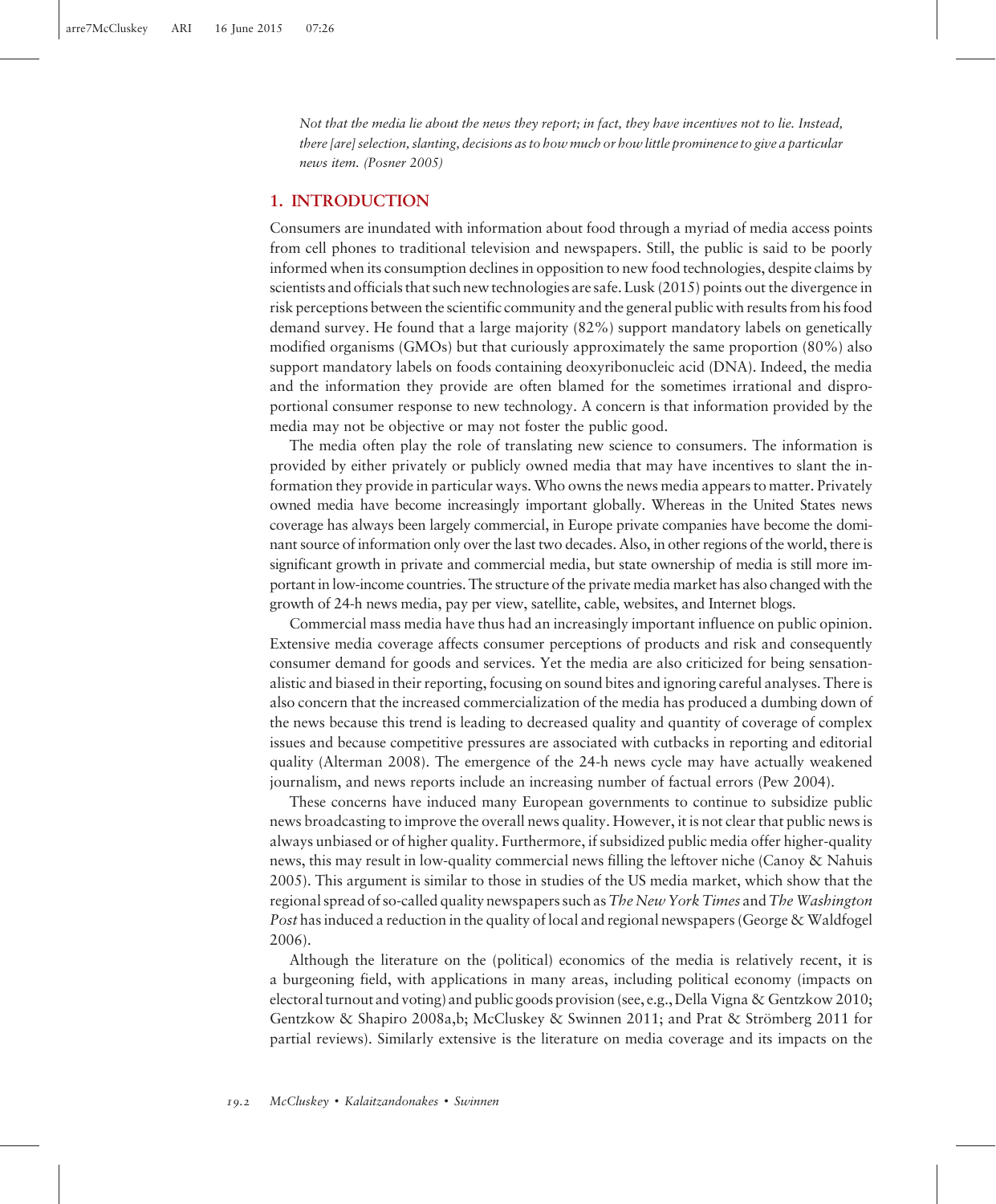Not that the media lie about the news they report; in fact, they have incentives not to lie. Instead, there [are] selection, slanting, decisions as to how much or how little prominence to give a particular news item. (Posner 2005)

### 1. INTRODUCTION

Consumers are inundated with information about food through a myriad of media access points from cell phones to traditional television and newspapers. Still, the public is said to be poorly informed when its consumption declines in opposition to new food technologies, despite claims by scientists and officials that such new technologies are safe. Lusk (2015) points out the divergence in risk perceptions between the scientific community and the general public with results from his food demand survey. He found that a large majority (82%) support mandatory labels on genetically modified organisms (GMOs) but that curiously approximately the same proportion (80%) also support mandatory labels on foods containing deoxyribonucleic acid (DNA). Indeed, the media and the information they provide are often blamed for the sometimes irrational and disproportional consumer response to new technology. A concern is that information provided by the media may not be objective or may not foster the public good.

The media often play the role of translating new science to consumers. The information is provided by either privately or publicly owned media that may have incentives to slant the information they provide in particular ways. Who owns the news media appears to matter. Privately owned media have become increasingly important globally. Whereas in the United States news coverage has always been largely commercial, in Europe private companies have become the dominant source of information only over the last two decades. Also, in other regions of the world, there is significant growth in private and commercial media, but state ownership of media is still more important in low-income countries. The structure of the private media market has also changed with the growth of 24-h news media, pay per view, satellite, cable, websites, and Internet blogs.

Commercial mass media have thus had an increasingly important influence on public opinion. Extensive media coverage affects consumer perceptions of products and risk and consequently consumer demand for goods and services. Yet the media are also criticized for being sensationalistic and biased in their reporting, focusing on sound bites and ignoring careful analyses. There is also concern that the increased commercialization of the media has produced a dumbing down of the news because this trend is leading to decreased quality and quantity of coverage of complex issues and because competitive pressures are associated with cutbacks in reporting and editorial quality (Alterman 2008). The emergence of the 24-h news cycle may have actually weakened journalism, and news reports include an increasing number of factual errors (Pew 2004).

These concerns have induced many European governments to continue to subsidize public news broadcasting to improve the overall news quality. However, it is not clear that public news is always unbiased or of higher quality. Furthermore, if subsidized public media offer higher-quality news, this may result in low-quality commercial news filling the leftover niche (Canoy & Nahuis 2005). This argument is similar to those in studies of the US media market, which show that the regional spread of so-called quality newspapers such as The New York Times and The Washington Post has induced a reduction in the quality of local and regional newspapers (George & Waldfogel 2006).

Although the literature on the (political) economics of the media is relatively recent, it is a burgeoning field, with applications in many areas, including political economy (impacts on electoral turnout and voting) and public goods provision (see, e.g., Della Vigna & Gentzkow 2010; Gentzkow & Shapiro 2008a,b; McCluskey & Swinnen 2011; and Prat & Strömberg 2011 for partial reviews). Similarly extensive is the literature on media coverage and its impacts on the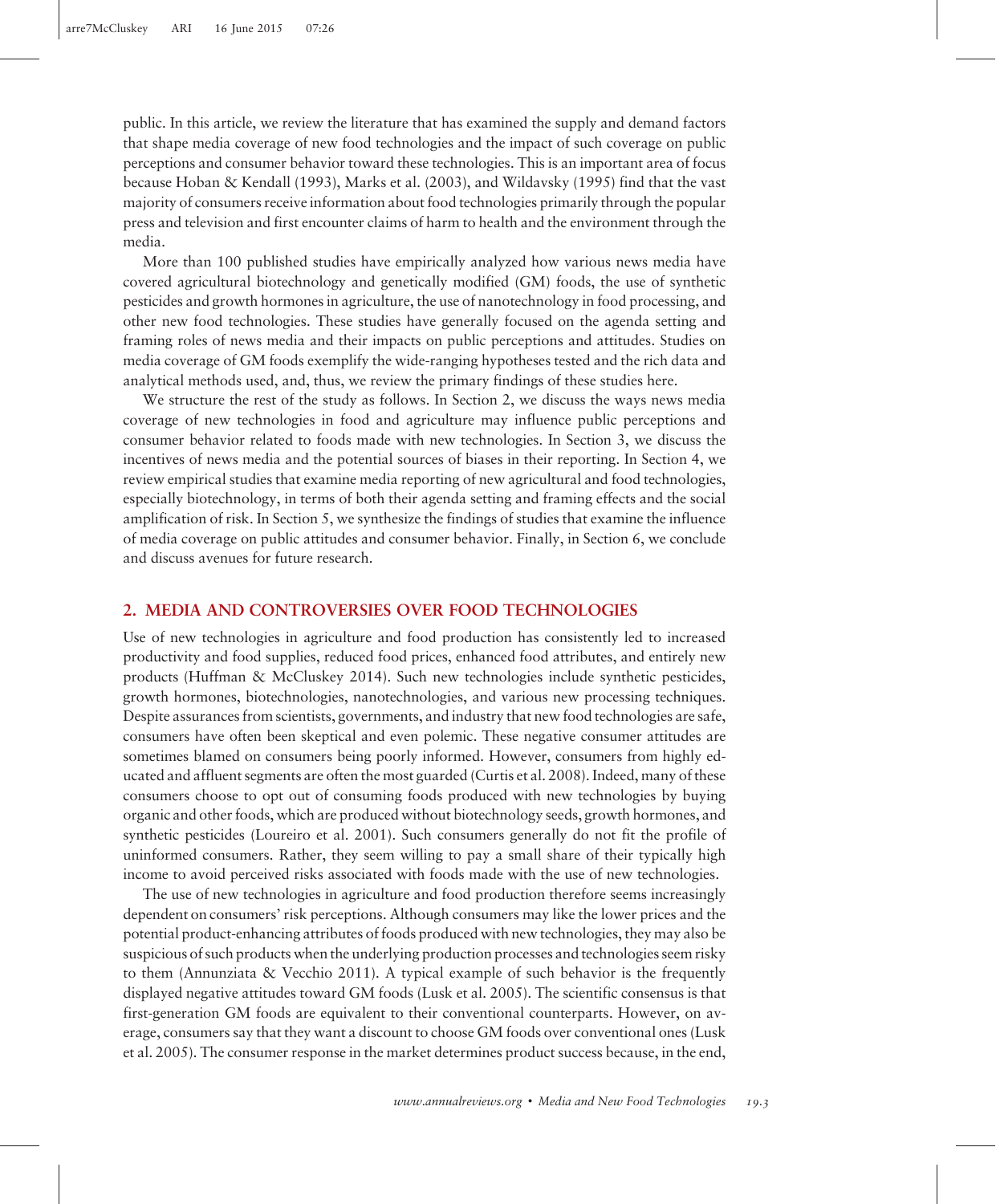public. In this article, we review the literature that has examined the supply and demand factors that shape media coverage of new food technologies and the impact of such coverage on public perceptions and consumer behavior toward these technologies. This is an important area of focus because Hoban & Kendall (1993), Marks et al. (2003), and Wildavsky (1995) find that the vast majority of consumers receive information about food technologies primarily through the popular press and television and first encounter claims of harm to health and the environment through the media.

More than 100 published studies have empirically analyzed how various news media have covered agricultural biotechnology and genetically modified (GM) foods, the use of synthetic pesticides and growth hormones in agriculture, the use of nanotechnology in food processing, and other new food technologies. These studies have generally focused on the agenda setting and framing roles of news media and their impacts on public perceptions and attitudes. Studies on media coverage of GM foods exemplify the wide-ranging hypotheses tested and the rich data and analytical methods used, and, thus, we review the primary findings of these studies here.

We structure the rest of the study as follows. In Section 2, we discuss the ways news media coverage of new technologies in food and agriculture may influence public perceptions and consumer behavior related to foods made with new technologies. In Section 3, we discuss the incentives of news media and the potential sources of biases in their reporting. In Section 4, we review empirical studies that examine media reporting of new agricultural and food technologies, especially biotechnology, in terms of both their agenda setting and framing effects and the social amplification of risk. In Section 5, we synthesize the findings of studies that examine the influence of media coverage on public attitudes and consumer behavior. Finally, in Section 6, we conclude and discuss avenues for future research.

# 2. MEDIA AND CONTROVERSIES OVER FOOD TECHNOLOGIES

Use of new technologies in agriculture and food production has consistently led to increased productivity and food supplies, reduced food prices, enhanced food attributes, and entirely new products (Huffman & McCluskey 2014). Such new technologies include synthetic pesticides, growth hormones, biotechnologies, nanotechnologies, and various new processing techniques. Despite assurances from scientists, governments, and industry that new food technologies are safe, consumers have often been skeptical and even polemic. These negative consumer attitudes are sometimes blamed on consumers being poorly informed. However, consumers from highly educated and affluent segments are often the most guarded (Curtis et al. 2008). Indeed, many of these consumers choose to opt out of consuming foods produced with new technologies by buying organic and other foods, which are produced without biotechnology seeds, growth hormones, and synthetic pesticides (Loureiro et al. 2001). Such consumers generally do not fit the profile of uninformed consumers. Rather, they seem willing to pay a small share of their typically high income to avoid perceived risks associated with foods made with the use of new technologies.

The use of new technologies in agriculture and food production therefore seems increasingly dependent on consumers' risk perceptions. Although consumers may like the lower prices and the potential product-enhancing attributes of foods produced with new technologies, they may also be suspicious of such products when the underlying production processes and technologies seem risky to them (Annunziata & Vecchio 2011). A typical example of such behavior is the frequently displayed negative attitudes toward GM foods (Lusk et al. 2005). The scientific consensus is that first-generation GM foods are equivalent to their conventional counterparts. However, on average, consumers say that they want a discount to choose GM foods over conventional ones (Lusk et al. 2005). The consumer response in the market determines product success because, in the end,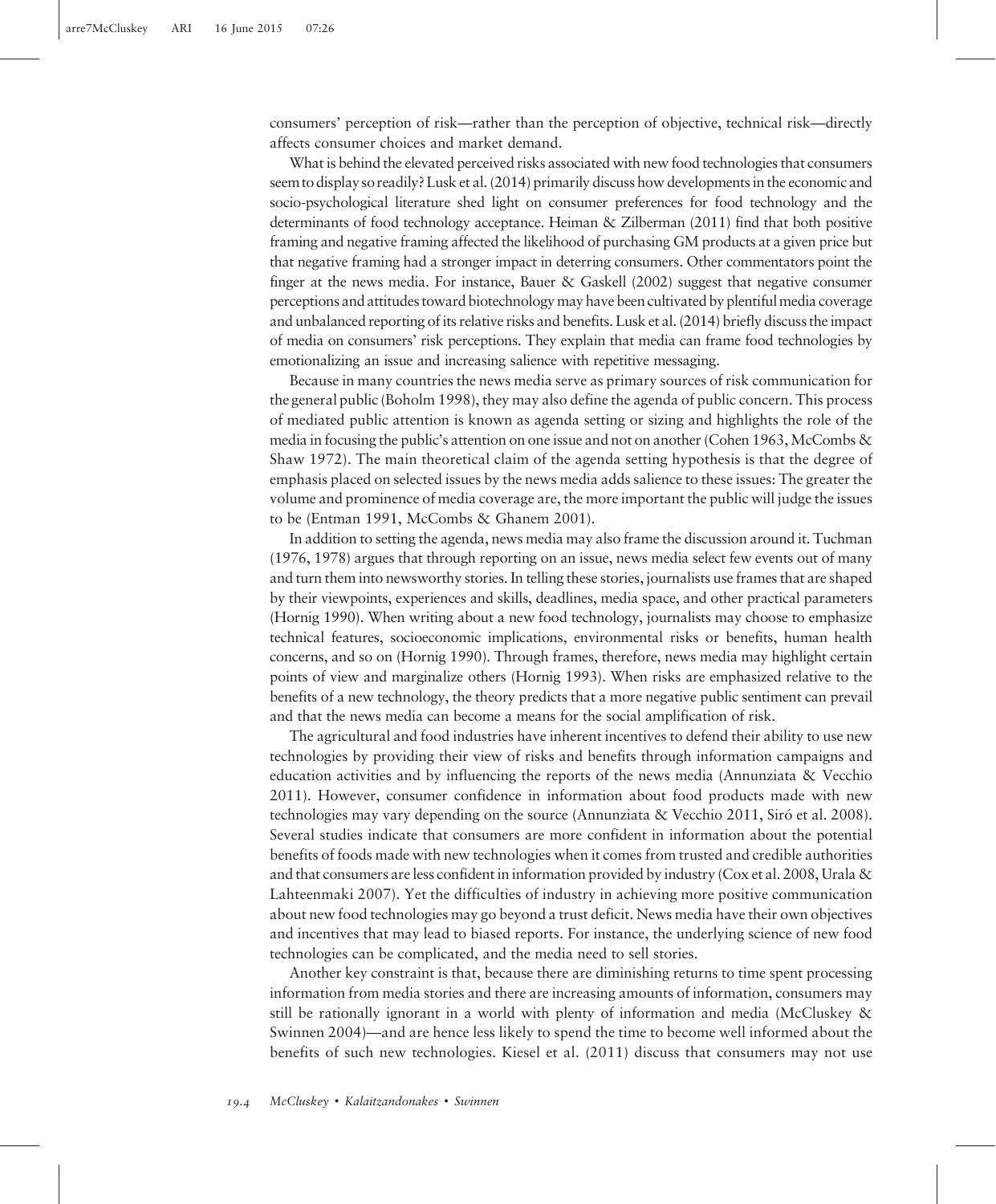consumers' perception of risk—rather than the perception of objective, technical risk—directly affects consumer choices and market demand.

What is behind the elevated perceived risks associated with new food technologies that consumers seem to display so readily?Lusk et al. (2014) primarily discuss how developments in the economic and socio-psychological literature shed light on consumer preferences for food technology and the determinants of food technology acceptance. Heiman & Zilberman (2011) find that both positive framing and negative framing affected the likelihood of purchasing GM products at a given price but that negative framing had a stronger impact in deterring consumers. Other commentators point the finger at the news media. For instance, Bauer & Gaskell (2002) suggest that negative consumer perceptions and attitudes toward biotechnology may have been cultivated by plentiful media coverage and unbalanced reporting of its relative risks and benefits. Lusk et al. (2014) briefly discuss the impact of media on consumers' risk perceptions. They explain that media can frame food technologies by emotionalizing an issue and increasing salience with repetitive messaging.

Because in many countries the news media serve as primary sources of risk communication for the general public (Boholm 1998), they may also define the agenda of public concern. This process of mediated public attention is known as agenda setting or sizing and highlights the role of the media in focusing the public's attention on one issue and not on another (Cohen 1963,McCombs & Shaw 1972). The main theoretical claim of the agenda setting hypothesis is that the degree of emphasis placed on selected issues by the news media adds salience to these issues: The greater the volume and prominence of media coverage are, the more important the public will judge the issues to be (Entman 1991, McCombs & Ghanem 2001).

In addition to setting the agenda, news media may also frame the discussion around it. Tuchman (1976, 1978) argues that through reporting on an issue, news media select few events out of many and turn them into newsworthy stories. In telling these stories, journalists use frames that are shaped by their viewpoints, experiences and skills, deadlines, media space, and other practical parameters (Hornig 1990). When writing about a new food technology, journalists may choose to emphasize technical features, socioeconomic implications, environmental risks or benefits, human health concerns, and so on (Hornig 1990). Through frames, therefore, news media may highlight certain points of view and marginalize others (Hornig 1993). When risks are emphasized relative to the benefits of a new technology, the theory predicts that a more negative public sentiment can prevail and that the news media can become a means for the social amplification of risk.

The agricultural and food industries have inherent incentives to defend their ability to use new technologies by providing their view of risks and benefits through information campaigns and education activities and by influencing the reports of the news media (Annunziata & Vecchio 2011). However, consumer confidence in information about food products made with new technologies may vary depending on the source (Annunziata & Vecchio 2011, Siró et al. 2008). Several studies indicate that consumers are more confident in information about the potential benefits of foods made with new technologies when it comes from trusted and credible authorities and that consumers are less confident in information provided by industry (Cox et al. 2008, Urala & Lahteenmaki 2007). Yet the difficulties of industry in achieving more positive communication about new food technologies may go beyond a trust deficit. News media have their own objectives and incentives that may lead to biased reports. For instance, the underlying science of new food technologies can be complicated, and the media need to sell stories.

Another key constraint is that, because there are diminishing returns to time spent processing information from media stories and there are increasing amounts of information, consumers may still be rationally ignorant in a world with plenty of information and media (McCluskey & Swinnen 2004)—and are hence less likely to spend the time to become well informed about the benefits of such new technologies. Kiesel et al. (2011) discuss that consumers may not use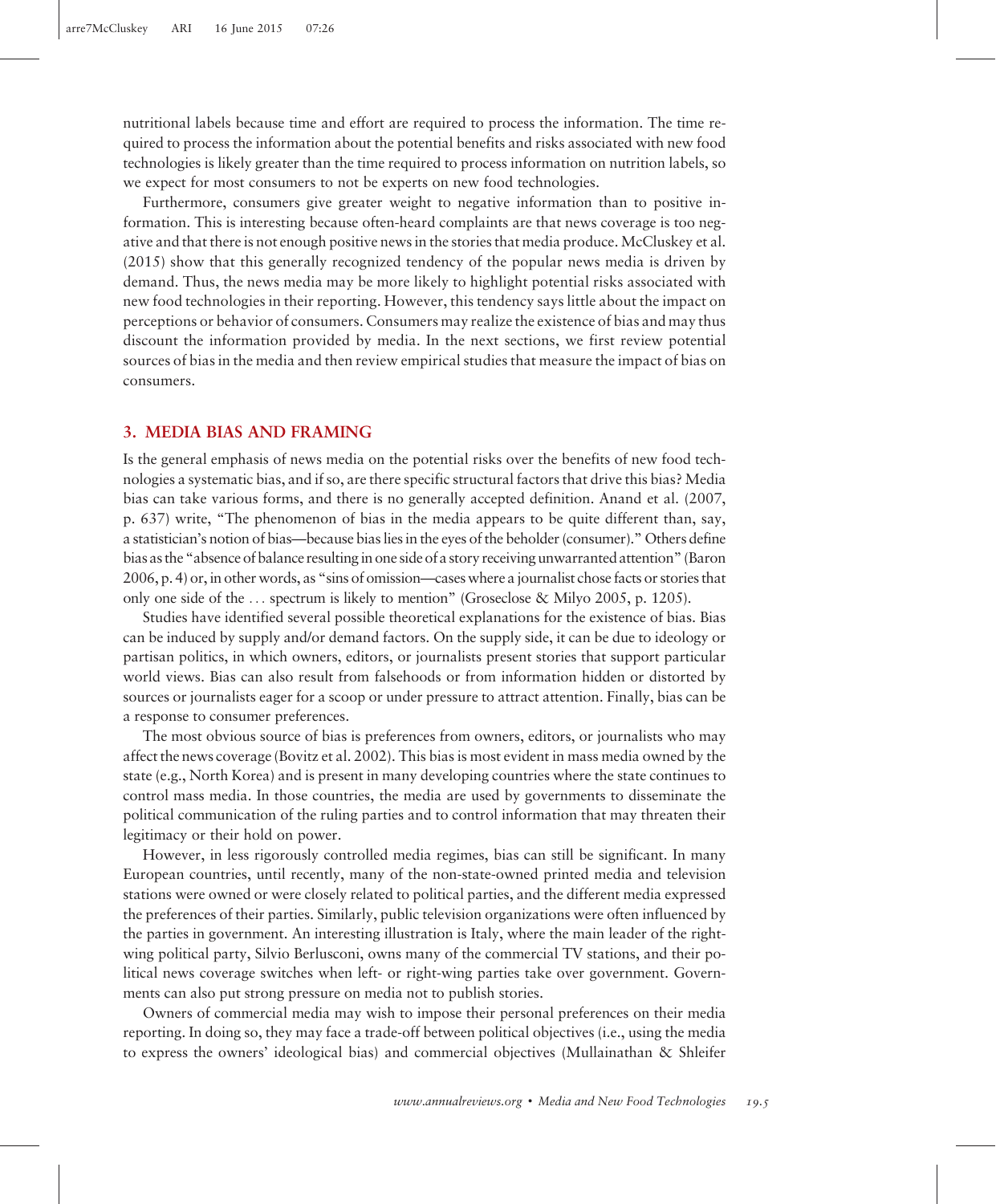nutritional labels because time and effort are required to process the information. The time required to process the information about the potential benefits and risks associated with new food technologies is likely greater than the time required to process information on nutrition labels, so we expect for most consumers to not be experts on new food technologies.

Furthermore, consumers give greater weight to negative information than to positive information. This is interesting because often-heard complaints are that news coverage is too negative and that there is not enough positive news in the stories that media produce. McCluskey et al. (2015) show that this generally recognized tendency of the popular news media is driven by demand. Thus, the news media may be more likely to highlight potential risks associated with new food technologies in their reporting. However, this tendency says little about the impact on perceptions or behavior of consumers. Consumers may realize the existence of bias and may thus discount the information provided by media. In the next sections, we first review potential sources of bias in the media and then review empirical studies that measure the impact of bias on consumers.

#### 3. MEDIA BIAS AND FRAMING

Is the general emphasis of news media on the potential risks over the benefits of new food technologies a systematic bias, and if so, are there specific structural factors that drive this bias? Media bias can take various forms, and there is no generally accepted definition. Anand et al. (2007, p. 637) write, "The phenomenon of bias in the media appears to be quite different than, say, a statistician's notion of bias—because bias lies in the eyes of the beholder (consumer)." Others define bias as the"absence of balance resulting in one side of a story receiving unwarranted attention"(Baron 2006, p. 4) or, in other words, as "sins of omission—cases where a journalist chose facts or stories that only one side of the  $\ldots$  spectrum is likely to mention" (Groseclose & Milyo 2005, p. 1205).

Studies have identified several possible theoretical explanations for the existence of bias. Bias can be induced by supply and/or demand factors. On the supply side, it can be due to ideology or partisan politics, in which owners, editors, or journalists present stories that support particular world views. Bias can also result from falsehoods or from information hidden or distorted by sources or journalists eager for a scoop or under pressure to attract attention. Finally, bias can be a response to consumer preferences.

The most obvious source of bias is preferences from owners, editors, or journalists who may affect the news coverage (Bovitz et al. 2002). This bias is most evident in mass media owned by the state (e.g., North Korea) and is present in many developing countries where the state continues to control mass media. In those countries, the media are used by governments to disseminate the political communication of the ruling parties and to control information that may threaten their legitimacy or their hold on power.

However, in less rigorously controlled media regimes, bias can still be significant. In many European countries, until recently, many of the non-state-owned printed media and television stations were owned or were closely related to political parties, and the different media expressed the preferences of their parties. Similarly, public television organizations were often influenced by the parties in government. An interesting illustration is Italy, where the main leader of the rightwing political party, Silvio Berlusconi, owns many of the commercial TV stations, and their political news coverage switches when left- or right-wing parties take over government. Governments can also put strong pressure on media not to publish stories.

Owners of commercial media may wish to impose their personal preferences on their media reporting. In doing so, they may face a trade-off between political objectives (i.e., using the media to express the owners' ideological bias) and commercial objectives (Mullainathan & Shleifer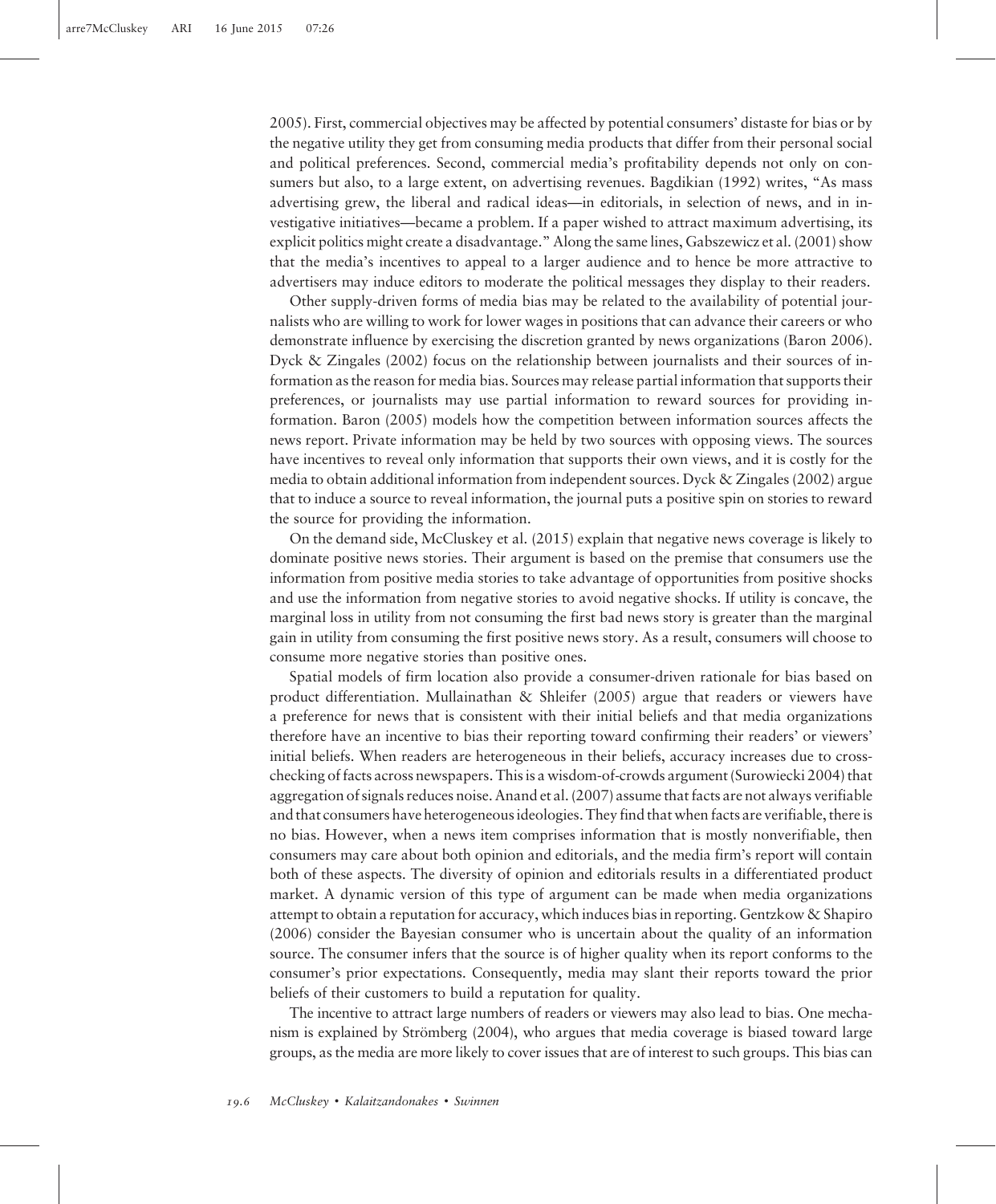2005). First, commercial objectives may be affected by potential consumers' distaste for bias or by the negative utility they get from consuming media products that differ from their personal social and political preferences. Second, commercial media's profitability depends not only on consumers but also, to a large extent, on advertising revenues. Bagdikian (1992) writes, "As mass advertising grew, the liberal and radical ideas—in editorials, in selection of news, and in investigative initiatives—became a problem. If a paper wished to attract maximum advertising, its explicit politics might create a disadvantage." Along the same lines, Gabszewicz et al. (2001) show that the media's incentives to appeal to a larger audience and to hence be more attractive to advertisers may induce editors to moderate the political messages they display to their readers.

Other supply-driven forms of media bias may be related to the availability of potential journalists who are willing to work for lower wages in positions that can advance their careers or who demonstrate influence by exercising the discretion granted by news organizations (Baron 2006). Dyck & Zingales (2002) focus on the relationship between journalists and their sources of information as the reason for media bias. Sources may release partial information that supports their preferences, or journalists may use partial information to reward sources for providing information. Baron (2005) models how the competition between information sources affects the news report. Private information may be held by two sources with opposing views. The sources have incentives to reveal only information that supports their own views, and it is costly for the media to obtain additional information from independent sources. Dyck & Zingales (2002) argue that to induce a source to reveal information, the journal puts a positive spin on stories to reward the source for providing the information.

On the demand side, McCluskey et al. (2015) explain that negative news coverage is likely to dominate positive news stories. Their argument is based on the premise that consumers use the information from positive media stories to take advantage of opportunities from positive shocks and use the information from negative stories to avoid negative shocks. If utility is concave, the marginal loss in utility from not consuming the first bad news story is greater than the marginal gain in utility from consuming the first positive news story. As a result, consumers will choose to consume more negative stories than positive ones.

Spatial models of firm location also provide a consumer-driven rationale for bias based on product differentiation. Mullainathan & Shleifer (2005) argue that readers or viewers have a preference for news that is consistent with their initial beliefs and that media organizations therefore have an incentive to bias their reporting toward confirming their readers' or viewers' initial beliefs. When readers are heterogeneous in their beliefs, accuracy increases due to crosschecking of facts across newspapers. This is a wisdom-of-crowds argument (Surowiecki 2004) that aggregation of signals reduces noise. Anand et al. (2007) assume that facts are not always verifiable and that consumers have heterogeneous ideologies. They find that when facts are verifiable, there is no bias. However, when a news item comprises information that is mostly nonverifiable, then consumers may care about both opinion and editorials, and the media firm's report will contain both of these aspects. The diversity of opinion and editorials results in a differentiated product market. A dynamic version of this type of argument can be made when media organizations attempt to obtain a reputation for accuracy, which induces bias in reporting. Gentzkow & Shapiro (2006) consider the Bayesian consumer who is uncertain about the quality of an information source. The consumer infers that the source is of higher quality when its report conforms to the consumer's prior expectations. Consequently, media may slant their reports toward the prior beliefs of their customers to build a reputation for quality.

The incentive to attract large numbers of readers or viewers may also lead to bias. One mechanism is explained by Strömberg (2004), who argues that media coverage is biased toward large groups, as the media are more likely to cover issues that are of interest to such groups. This bias can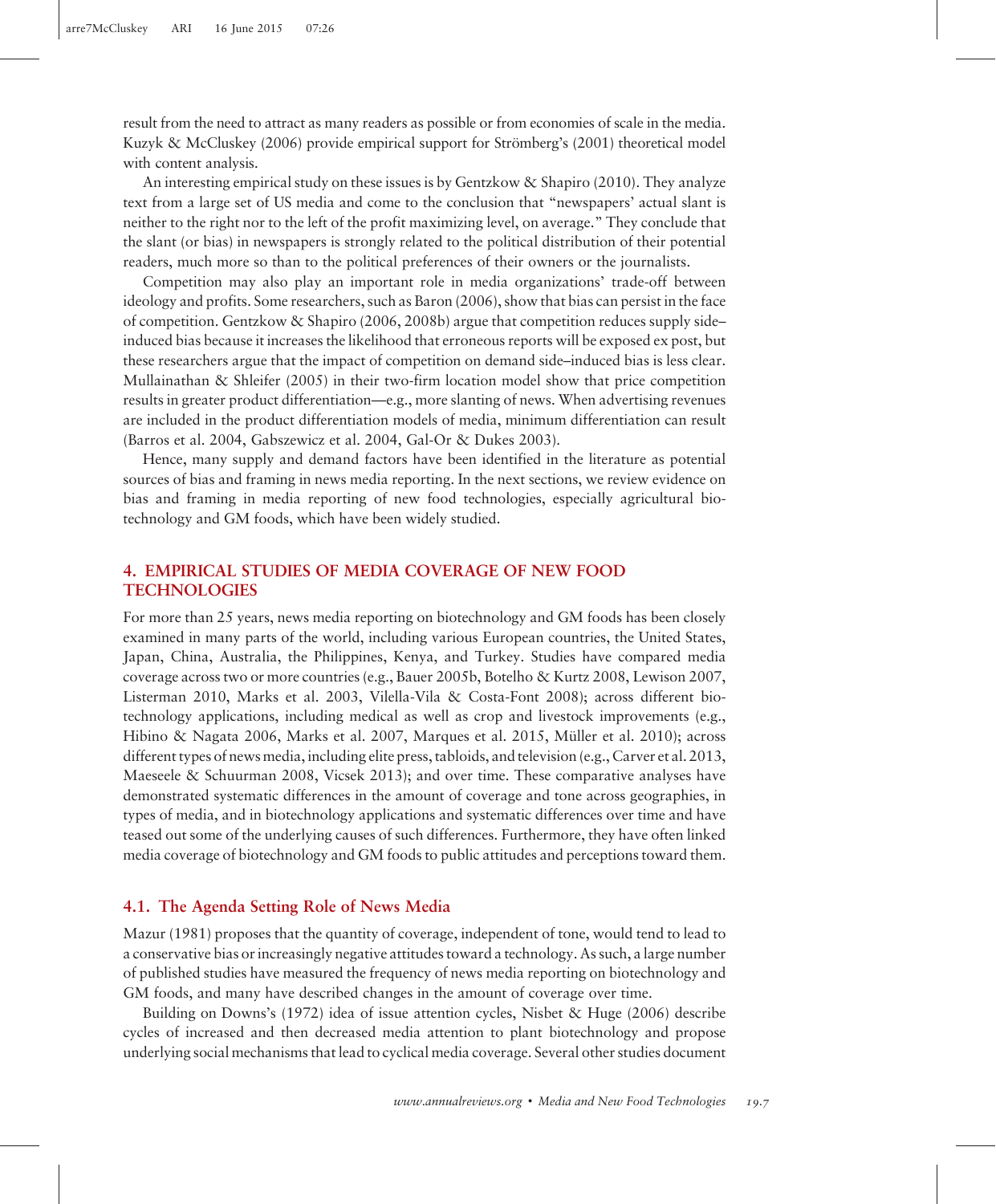result from the need to attract as many readers as possible or from economies of scale in the media. Kuzyk & McCluskey (2006) provide empirical support for Strömberg's (2001) theoretical model with content analysis.

An interesting empirical study on these issues is by Gentzkow & Shapiro (2010). They analyze text from a large set of US media and come to the conclusion that "newspapers' actual slant is neither to the right nor to the left of the profit maximizing level, on average." They conclude that the slant (or bias) in newspapers is strongly related to the political distribution of their potential readers, much more so than to the political preferences of their owners or the journalists.

Competition may also play an important role in media organizations' trade-off between ideology and profits. Some researchers, such as Baron (2006), show that bias can persist in the face of competition. Gentzkow & Shapiro (2006, 2008b) argue that competition reduces supply side– induced bias because it increases the likelihood that erroneous reports will be exposed ex post, but these researchers argue that the impact of competition on demand side–induced bias is less clear. Mullainathan & Shleifer (2005) in their two-firm location model show that price competition results in greater product differentiation—e.g., more slanting of news. When advertising revenues are included in the product differentiation models of media, minimum differentiation can result (Barros et al. 2004, Gabszewicz et al. 2004, Gal-Or & Dukes 2003).

Hence, many supply and demand factors have been identified in the literature as potential sources of bias and framing in news media reporting. In the next sections, we review evidence on bias and framing in media reporting of new food technologies, especially agricultural biotechnology and GM foods, which have been widely studied.

# 4. EMPIRICAL STUDIES OF MEDIA COVERAGE OF NEW FOOD **TECHNOLOGIES**

For more than 25 years, news media reporting on biotechnology and GM foods has been closely examined in many parts of the world, including various European countries, the United States, Japan, China, Australia, the Philippines, Kenya, and Turkey. Studies have compared media coverage across two or more countries (e.g., Bauer 2005b, Botelho & Kurtz 2008, Lewison 2007, Listerman 2010, Marks et al. 2003, Vilella-Vila & Costa-Font 2008); across different biotechnology applications, including medical as well as crop and livestock improvements (e.g., Hibino & Nagata 2006, Marks et al. 2007, Marques et al. 2015, Müller et al. 2010); across different types of news media, including elite press, tabloids, and television (e.g., Carver et al. 2013, Maeseele & Schuurman 2008, Vicsek 2013); and over time. These comparative analyses have demonstrated systematic differences in the amount of coverage and tone across geographies, in types of media, and in biotechnology applications and systematic differences over time and have teased out some of the underlying causes of such differences. Furthermore, they have often linked media coverage of biotechnology and GM foods to public attitudes and perceptions toward them.

# 4.1. The Agenda Setting Role of News Media

Mazur (1981) proposes that the quantity of coverage, independent of tone, would tend to lead to a conservative bias or increasingly negative attitudes toward a technology. As such, a large number of published studies have measured the frequency of news media reporting on biotechnology and GM foods, and many have described changes in the amount of coverage over time.

Building on Downs's (1972) idea of issue attention cycles, Nisbet & Huge (2006) describe cycles of increased and then decreased media attention to plant biotechnology and propose underlying social mechanisms that lead to cyclical media coverage. Several other studies document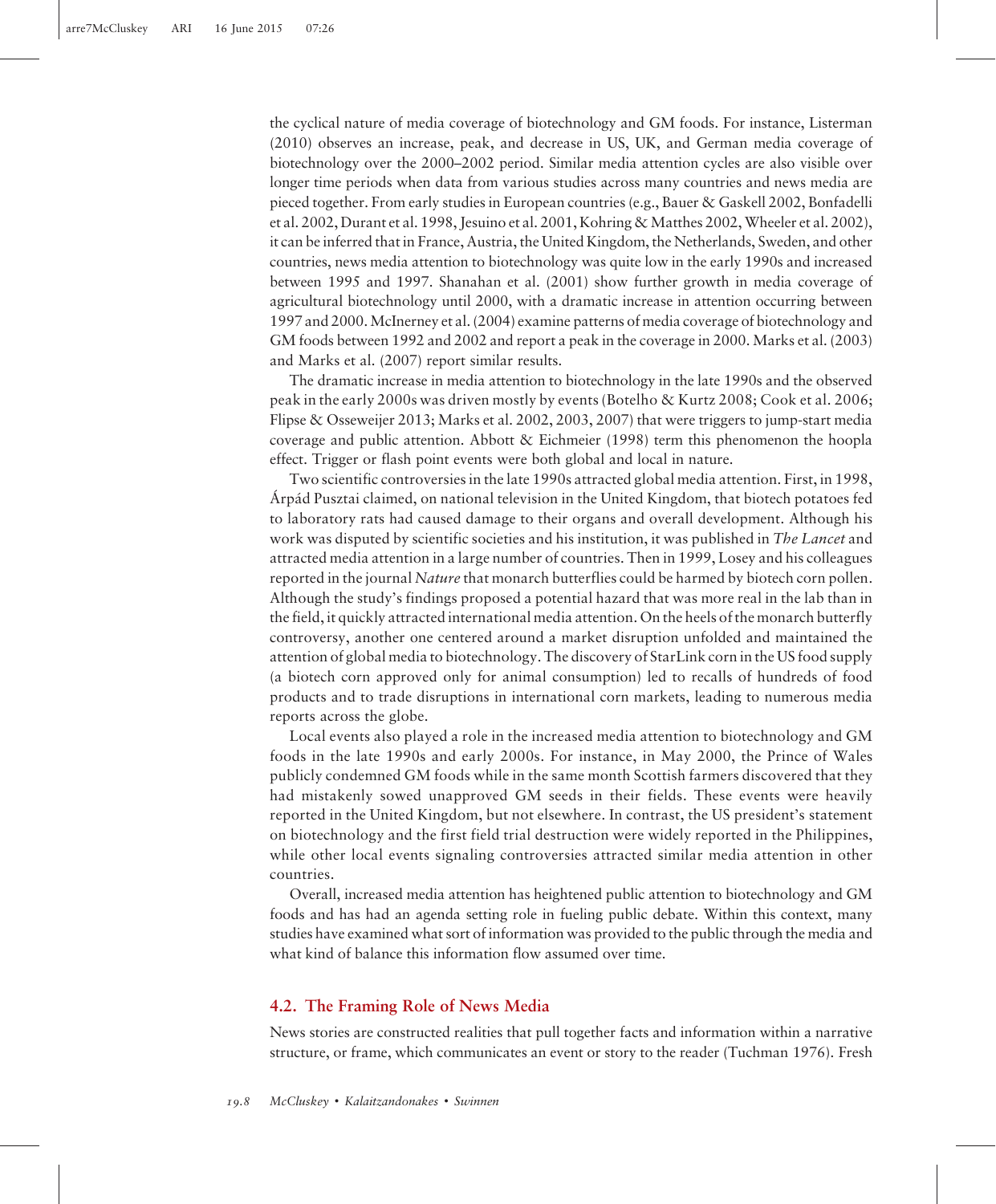the cyclical nature of media coverage of biotechnology and GM foods. For instance, Listerman (2010) observes an increase, peak, and decrease in US, UK, and German media coverage of biotechnology over the 2000–2002 period. Similar media attention cycles are also visible over longer time periods when data from various studies across many countries and news media are pieced together. From early studies in European countries (e.g., Bauer & Gaskell 2002, Bonfadelli et al. 2002, Durant et al. 1998, Jesuino et al. 2001, Kohring & Matthes 2002, Wheeler et al. 2002), it can be inferred that in France, Austria, the United Kingdom, the Netherlands, Sweden, and other countries, news media attention to biotechnology was quite low in the early 1990s and increased between 1995 and 1997. Shanahan et al. (2001) show further growth in media coverage of agricultural biotechnology until 2000, with a dramatic increase in attention occurring between 1997 and 2000.McInerney et al. (2004) examine patterns of media coverage of biotechnology and GM foods between 1992 and 2002 and report a peak in the coverage in 2000. Marks et al. (2003) and Marks et al. (2007) report similar results.

The dramatic increase in media attention to biotechnology in the late 1990s and the observed peak in the early 2000s was driven mostly by events (Botelho & Kurtz 2008; Cook et al. 2006; Flipse & Osseweijer 2013; Marks et al. 2002, 2003, 2007) that were triggers to jump-start media coverage and public attention. Abbott & Eichmeier (1998) term this phenomenon the hoopla effect. Trigger or flash point events were both global and local in nature.

Two scientific controversies in the late 1990s attracted global media attention. First, in 1998, Árpád Pusztai claimed, on national television in the United Kingdom, that biotech potatoes fed to laboratory rats had caused damage to their organs and overall development. Although his work was disputed by scientific societies and his institution, it was published in The Lancet and attracted media attention in a large number of countries. Then in 1999, Losey and his colleagues reported in the journal Nature that monarch butterflies could be harmed by biotech corn pollen. Although the study's findings proposed a potential hazard that was more real in the lab than in the field, it quickly attracted international media attention. On the heels of the monarch butterfly controversy, another one centered around a market disruption unfolded and maintained the attention of global media to biotechnology. The discovery of StarLink corn in the US food supply (a biotech corn approved only for animal consumption) led to recalls of hundreds of food products and to trade disruptions in international corn markets, leading to numerous media reports across the globe.

Local events also played a role in the increased media attention to biotechnology and GM foods in the late 1990s and early 2000s. For instance, in May 2000, the Prince of Wales publicly condemned GM foods while in the same month Scottish farmers discovered that they had mistakenly sowed unapproved GM seeds in their fields. These events were heavily reported in the United Kingdom, but not elsewhere. In contrast, the US president's statement on biotechnology and the first field trial destruction were widely reported in the Philippines, while other local events signaling controversies attracted similar media attention in other countries.

Overall, increased media attention has heightened public attention to biotechnology and GM foods and has had an agenda setting role in fueling public debate. Within this context, many studies have examined what sort of information was provided to the public through the media and what kind of balance this information flow assumed over time.

# 4.2. The Framing Role of News Media

News stories are constructed realities that pull together facts and information within a narrative structure, or frame, which communicates an event or story to the reader (Tuchman 1976). Fresh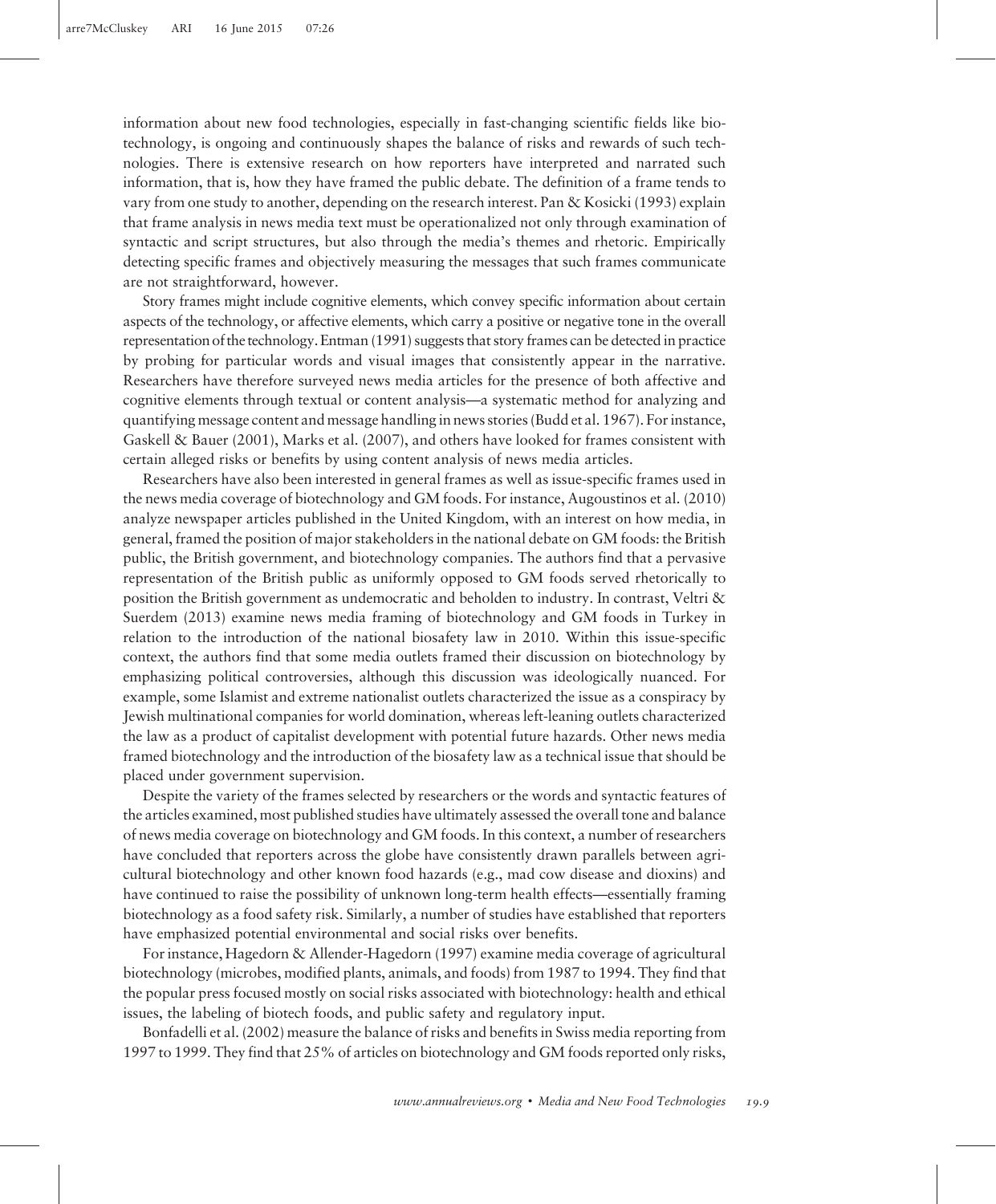information about new food technologies, especially in fast-changing scientific fields like biotechnology, is ongoing and continuously shapes the balance of risks and rewards of such technologies. There is extensive research on how reporters have interpreted and narrated such information, that is, how they have framed the public debate. The definition of a frame tends to vary from one study to another, depending on the research interest. Pan & Kosicki (1993) explain that frame analysis in news media text must be operationalized not only through examination of syntactic and script structures, but also through the media's themes and rhetoric. Empirically detecting specific frames and objectively measuring the messages that such frames communicate are not straightforward, however.

Story frames might include cognitive elements, which convey specific information about certain aspects of the technology, or affective elements, which carry a positive or negative tone in the overall representation of the technology. Entman (1991) suggests that story frames can be detected in practice by probing for particular words and visual images that consistently appear in the narrative. Researchers have therefore surveyed news media articles for the presence of both affective and cognitive elements through textual or content analysis—a systematic method for analyzing and quantifying message content and message handling in news stories (Budd et al. 1967). For instance, Gaskell & Bauer (2001), Marks et al. (2007), and others have looked for frames consistent with certain alleged risks or benefits by using content analysis of news media articles.

Researchers have also been interested in general frames as well as issue-specific frames used in the news media coverage of biotechnology and GM foods. For instance, Augoustinos et al. (2010) analyze newspaper articles published in the United Kingdom, with an interest on how media, in general, framed the position of major stakeholders in the national debate on GM foods: the British public, the British government, and biotechnology companies. The authors find that a pervasive representation of the British public as uniformly opposed to GM foods served rhetorically to position the British government as undemocratic and beholden to industry. In contrast, Veltri & Suerdem (2013) examine news media framing of biotechnology and GM foods in Turkey in relation to the introduction of the national biosafety law in 2010. Within this issue-specific context, the authors find that some media outlets framed their discussion on biotechnology by emphasizing political controversies, although this discussion was ideologically nuanced. For example, some Islamist and extreme nationalist outlets characterized the issue as a conspiracy by Jewish multinational companies for world domination, whereas left-leaning outlets characterized the law as a product of capitalist development with potential future hazards. Other news media framed biotechnology and the introduction of the biosafety law as a technical issue that should be placed under government supervision.

Despite the variety of the frames selected by researchers or the words and syntactic features of the articles examined, most published studies have ultimately assessed the overall tone and balance of news media coverage on biotechnology and GM foods. In this context, a number of researchers have concluded that reporters across the globe have consistently drawn parallels between agricultural biotechnology and other known food hazards (e.g., mad cow disease and dioxins) and have continued to raise the possibility of unknown long-term health effects—essentially framing biotechnology as a food safety risk. Similarly, a number of studies have established that reporters have emphasized potential environmental and social risks over benefits.

For instance, Hagedorn & Allender-Hagedorn (1997) examine media coverage of agricultural biotechnology (microbes, modified plants, animals, and foods) from 1987 to 1994. They find that the popular press focused mostly on social risks associated with biotechnology: health and ethical issues, the labeling of biotech foods, and public safety and regulatory input.

Bonfadelli et al. (2002) measure the balance of risks and benefits in Swiss media reporting from 1997 to 1999. They find that 25% of articles on biotechnology and GM foods reported only risks,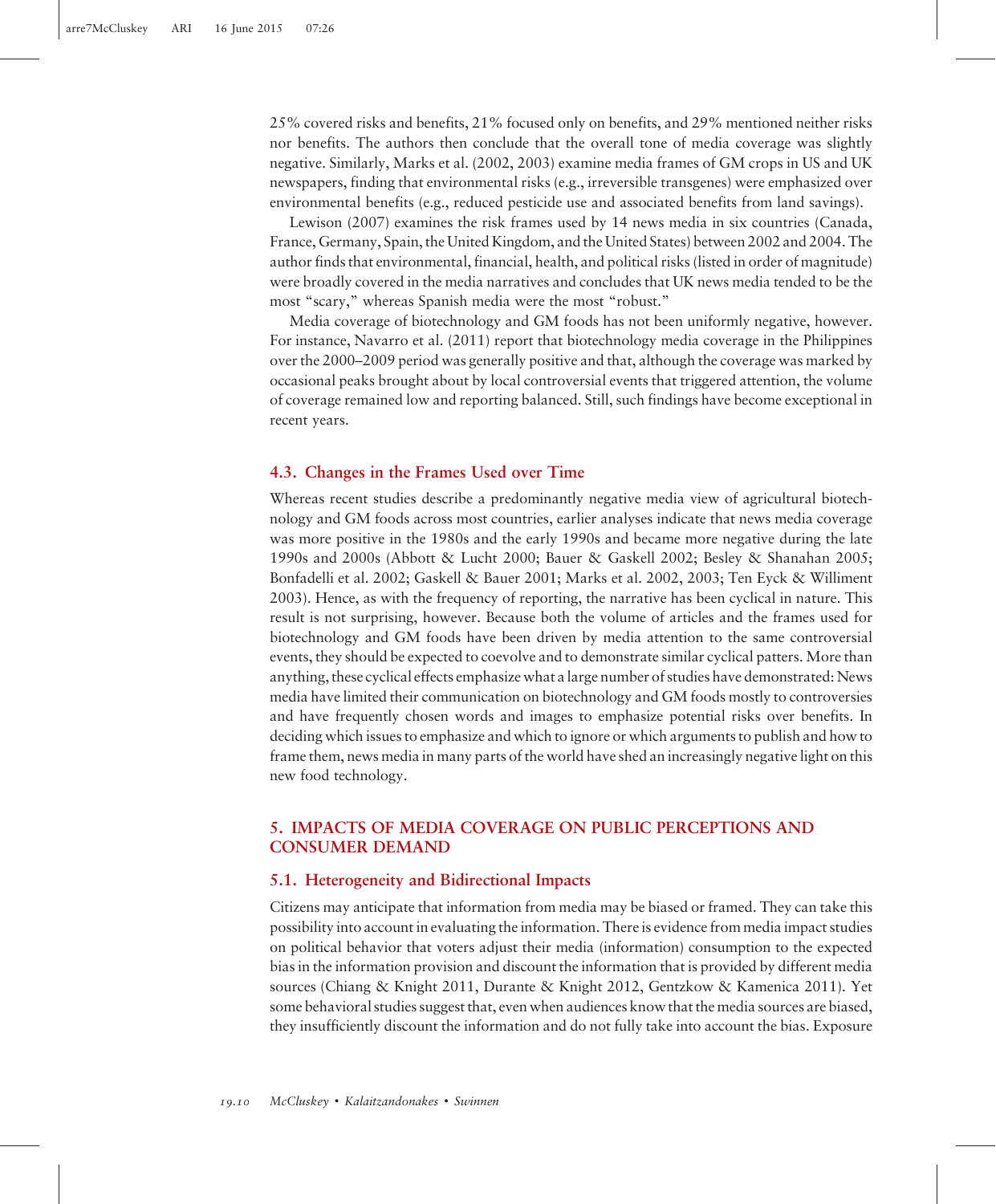25% covered risks and benefits, 21% focused only on benefits, and 29% mentioned neither risks nor benefits. The authors then conclude that the overall tone of media coverage was slightly negative. Similarly, Marks et al. (2002, 2003) examine media frames of GM crops in US and UK newspapers, finding that environmental risks (e.g., irreversible transgenes) were emphasized over environmental benefits (e.g., reduced pesticide use and associated benefits from land savings).

Lewison (2007) examines the risk frames used by 14 news media in six countries (Canada, France, Germany, Spain, the United Kingdom, and the United States) between 2002 and 2004. The author finds that environmental, financial, health, and political risks (listed in order of magnitude) were broadly covered in the media narratives and concludes that UK news media tended to be the most "scary," whereas Spanish media were the most "robust."

Media coverage of biotechnology and GM foods has not been uniformly negative, however. For instance, Navarro et al. (2011) report that biotechnology media coverage in the Philippines over the 2000–2009 period was generally positive and that, although the coverage was marked by occasional peaks brought about by local controversial events that triggered attention, the volume of coverage remained low and reporting balanced. Still, such findings have become exceptional in recent years.

#### 4.3. Changes in the Frames Used over Time

Whereas recent studies describe a predominantly negative media view of agricultural biotechnology and GM foods across most countries, earlier analyses indicate that news media coverage was more positive in the 1980s and the early 1990s and became more negative during the late 1990s and 2000s (Abbott & Lucht 2000; Bauer & Gaskell 2002; Besley & Shanahan 2005; Bonfadelli et al. 2002; Gaskell & Bauer 2001; Marks et al. 2002, 2003; Ten Eyck & Williment 2003). Hence, as with the frequency of reporting, the narrative has been cyclical in nature. This result is not surprising, however. Because both the volume of articles and the frames used for biotechnology and GM foods have been driven by media attention to the same controversial events, they should be expected to coevolve and to demonstrate similar cyclical patters. More than anything, these cyclical effects emphasize what a large number of studies have demonstrated: News media have limited their communication on biotechnology and GM foods mostly to controversies and have frequently chosen words and images to emphasize potential risks over benefits. In deciding which issues to emphasize and which to ignore or which arguments to publish and how to frame them, news media in many parts of the world have shed an increasingly negative light on this new food technology.

# 5. IMPACTS OF MEDIA COVERAGE ON PUBLIC PERCEPTIONS AND CONSUMER DEMAND

### 5.1. Heterogeneity and Bidirectional Impacts

Citizens may anticipate that information from media may be biased or framed. They can take this possibility into account in evaluating the information. There is evidence from media impact studies on political behavior that voters adjust their media (information) consumption to the expected bias in the information provision and discount the information that is provided by different media sources (Chiang & Knight 2011, Durante & Knight 2012, Gentzkow & Kamenica 2011). Yet some behavioral studies suggest that, even when audiences know that the media sources are biased, they insufficiently discount the information and do not fully take into account the bias. Exposure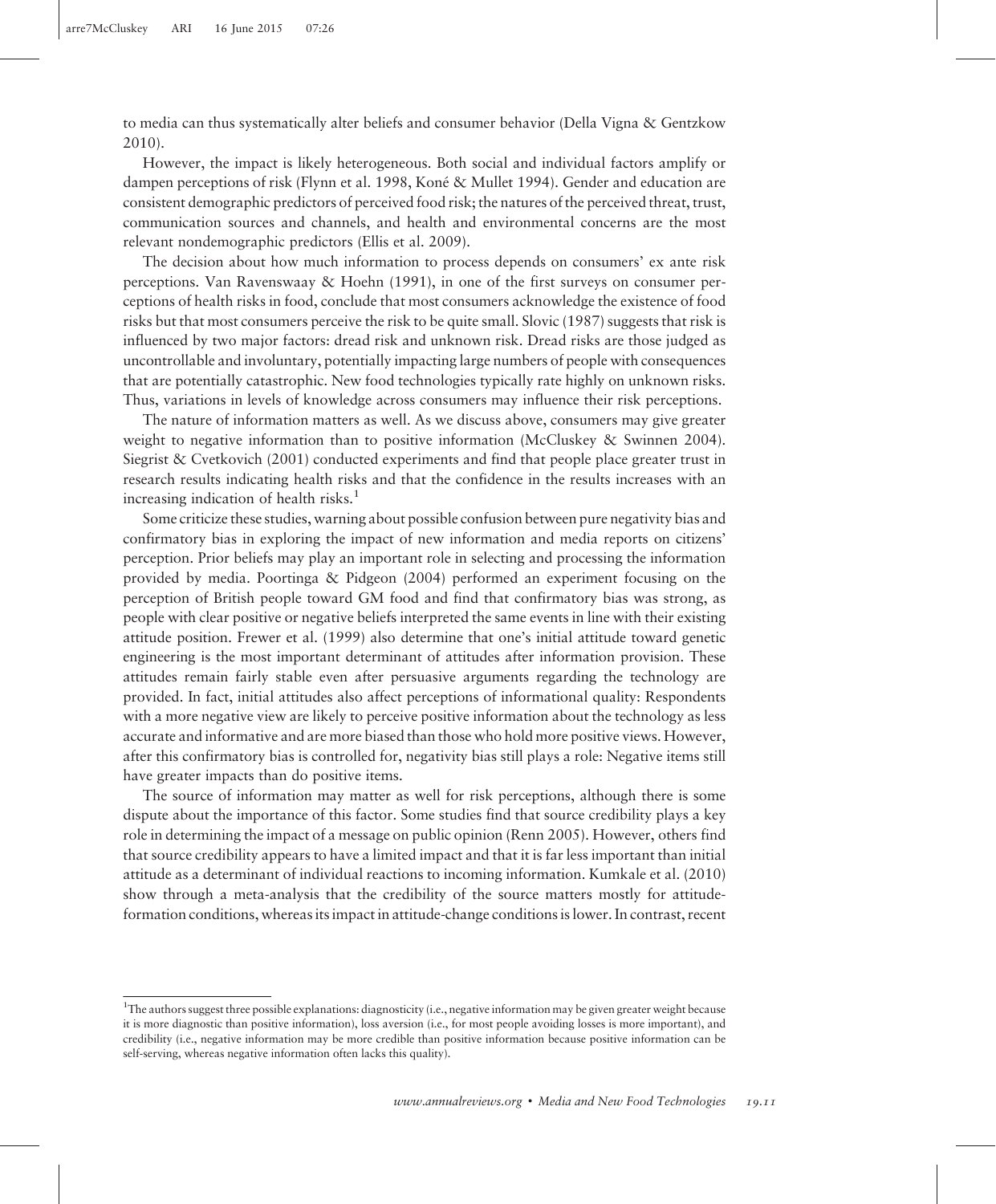to media can thus systematically alter beliefs and consumer behavior (Della Vigna & Gentzkow 2010).

However, the impact is likely heterogeneous. Both social and individual factors amplify or dampen perceptions of risk (Flynn et al. 1998, Koné & Mullet 1994). Gender and education are consistent demographic predictors of perceived food risk; the natures of the perceived threat, trust, communication sources and channels, and health and environmental concerns are the most relevant nondemographic predictors (Ellis et al. 2009).

The decision about how much information to process depends on consumers' ex ante risk perceptions. Van Ravenswaay & Hoehn (1991), in one of the first surveys on consumer perceptions of health risks in food, conclude that most consumers acknowledge the existence of food risks but that most consumers perceive the risk to be quite small. Slovic (1987) suggests that risk is influenced by two major factors: dread risk and unknown risk. Dread risks are those judged as uncontrollable and involuntary, potentially impacting large numbers of people with consequences that are potentially catastrophic. New food technologies typically rate highly on unknown risks. Thus, variations in levels of knowledge across consumers may influence their risk perceptions.

The nature of information matters as well. As we discuss above, consumers may give greater weight to negative information than to positive information (McCluskey & Swinnen 2004). Siegrist & Cvetkovich (2001) conducted experiments and find that people place greater trust in research results indicating health risks and that the confidence in the results increases with an increasing indication of health risks. $<sup>1</sup>$ </sup>

Some criticize these studies, warning about possible confusion between pure negativity bias and confirmatory bias in exploring the impact of new information and media reports on citizens' perception. Prior beliefs may play an important role in selecting and processing the information provided by media. Poortinga & Pidgeon (2004) performed an experiment focusing on the perception of British people toward GM food and find that confirmatory bias was strong, as people with clear positive or negative beliefs interpreted the same events in line with their existing attitude position. Frewer et al. (1999) also determine that one's initial attitude toward genetic engineering is the most important determinant of attitudes after information provision. These attitudes remain fairly stable even after persuasive arguments regarding the technology are provided. In fact, initial attitudes also affect perceptions of informational quality: Respondents with a more negative view are likely to perceive positive information about the technology as less accurate and informative and are more biased than those who hold more positive views. However, after this confirmatory bias is controlled for, negativity bias still plays a role: Negative items still have greater impacts than do positive items.

The source of information may matter as well for risk perceptions, although there is some dispute about the importance of this factor. Some studies find that source credibility plays a key role in determining the impact of a message on public opinion (Renn 2005). However, others find that source credibility appears to have a limited impact and that it is far less important than initial attitude as a determinant of individual reactions to incoming information. Kumkale et al. (2010) show through a meta-analysis that the credibility of the source matters mostly for attitudeformation conditions, whereas its impact in attitude-change conditions is lower. In contrast, recent

<sup>&</sup>lt;sup>1</sup>The authors suggest three possible explanations: diagnosticity (i.e., negative information may be given greater weight because it is more diagnostic than positive information), loss aversion (i.e., for most people avoiding losses is more important), and credibility (i.e., negative information may be more credible than positive information because positive information can be self-serving, whereas negative information often lacks this quality).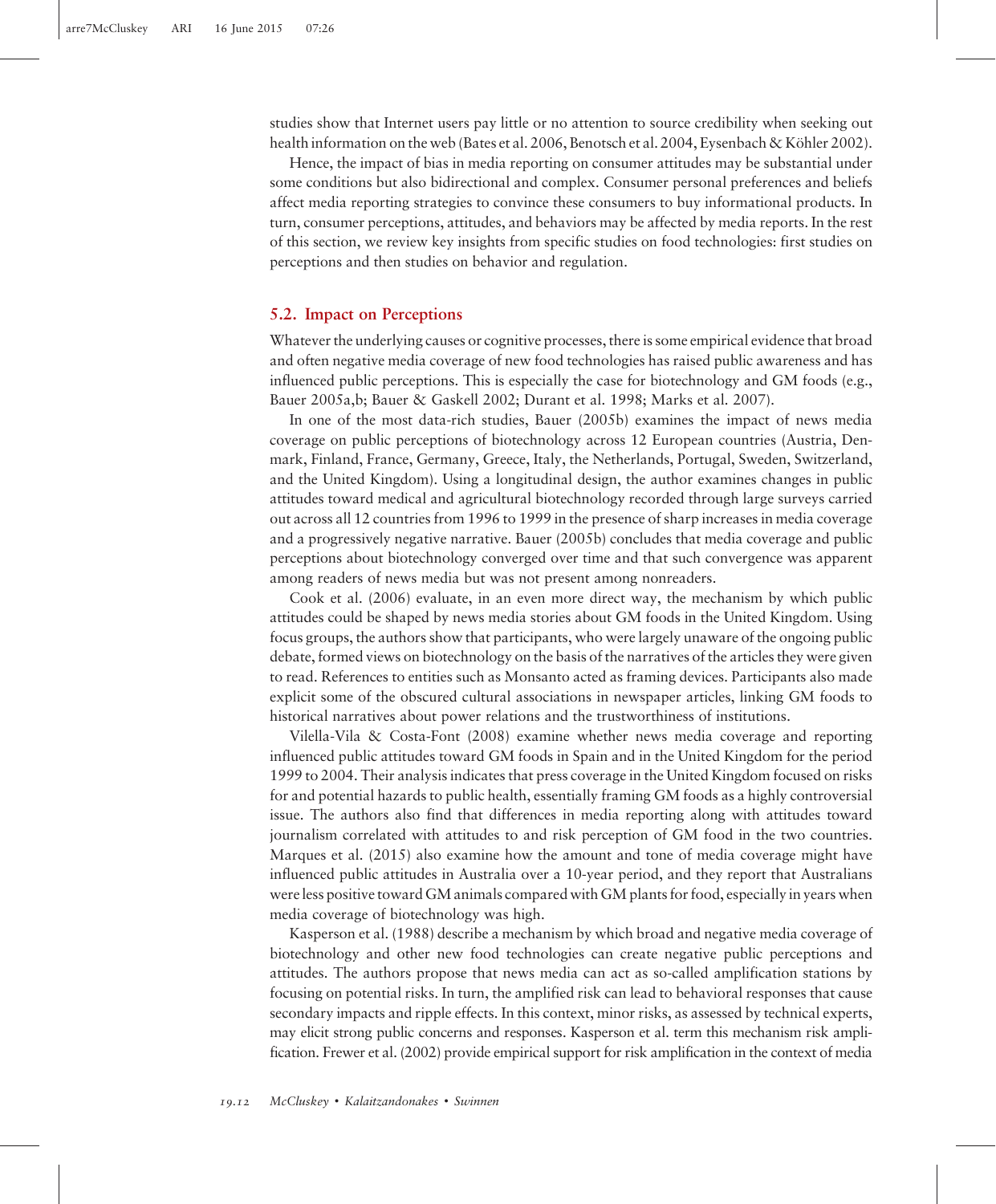studies show that Internet users pay little or no attention to source credibility when seeking out health information on the web (Bates et al. 2006, Benotsch et al. 2004, Eysenbach & Köhler 2002).

Hence, the impact of bias in media reporting on consumer attitudes may be substantial under some conditions but also bidirectional and complex. Consumer personal preferences and beliefs affect media reporting strategies to convince these consumers to buy informational products. In turn, consumer perceptions, attitudes, and behaviors may be affected by media reports. In the rest of this section, we review key insights from specific studies on food technologies: first studies on perceptions and then studies on behavior and regulation.

#### 5.2. Impact on Perceptions

Whatever the underlying causes or cognitive processes, there is some empirical evidence that broad and often negative media coverage of new food technologies has raised public awareness and has influenced public perceptions. This is especially the case for biotechnology and GM foods (e.g., Bauer 2005a,b; Bauer & Gaskell 2002; Durant et al. 1998; Marks et al. 2007).

In one of the most data-rich studies, Bauer (2005b) examines the impact of news media coverage on public perceptions of biotechnology across 12 European countries (Austria, Denmark, Finland, France, Germany, Greece, Italy, the Netherlands, Portugal, Sweden, Switzerland, and the United Kingdom). Using a longitudinal design, the author examines changes in public attitudes toward medical and agricultural biotechnology recorded through large surveys carried out across all 12 countries from 1996 to 1999 in the presence of sharp increases in media coverage and a progressively negative narrative. Bauer (2005b) concludes that media coverage and public perceptions about biotechnology converged over time and that such convergence was apparent among readers of news media but was not present among nonreaders.

Cook et al. (2006) evaluate, in an even more direct way, the mechanism by which public attitudes could be shaped by news media stories about GM foods in the United Kingdom. Using focus groups, the authors show that participants, who were largely unaware of the ongoing public debate, formed views on biotechnology on the basis of the narratives of the articles they were given to read. References to entities such as Monsanto acted as framing devices. Participants also made explicit some of the obscured cultural associations in newspaper articles, linking GM foods to historical narratives about power relations and the trustworthiness of institutions.

Vilella-Vila & Costa-Font (2008) examine whether news media coverage and reporting influenced public attitudes toward GM foods in Spain and in the United Kingdom for the period 1999 to 2004. Their analysis indicates that press coverage in the United Kingdom focused on risks for and potential hazards to public health, essentially framing GM foods as a highly controversial issue. The authors also find that differences in media reporting along with attitudes toward journalism correlated with attitudes to and risk perception of GM food in the two countries. Marques et al. (2015) also examine how the amount and tone of media coverage might have influenced public attitudes in Australia over a 10-year period, and they report that Australians were less positive toward GM animals compared with GM plants for food, especially in years when media coverage of biotechnology was high.

Kasperson et al. (1988) describe a mechanism by which broad and negative media coverage of biotechnology and other new food technologies can create negative public perceptions and attitudes. The authors propose that news media can act as so-called amplification stations by focusing on potential risks. In turn, the amplified risk can lead to behavioral responses that cause secondary impacts and ripple effects. In this context, minor risks, as assessed by technical experts, may elicit strong public concerns and responses. Kasperson et al. term this mechanism risk amplification. Frewer et al. (2002) provide empirical support for risk amplification in the context of media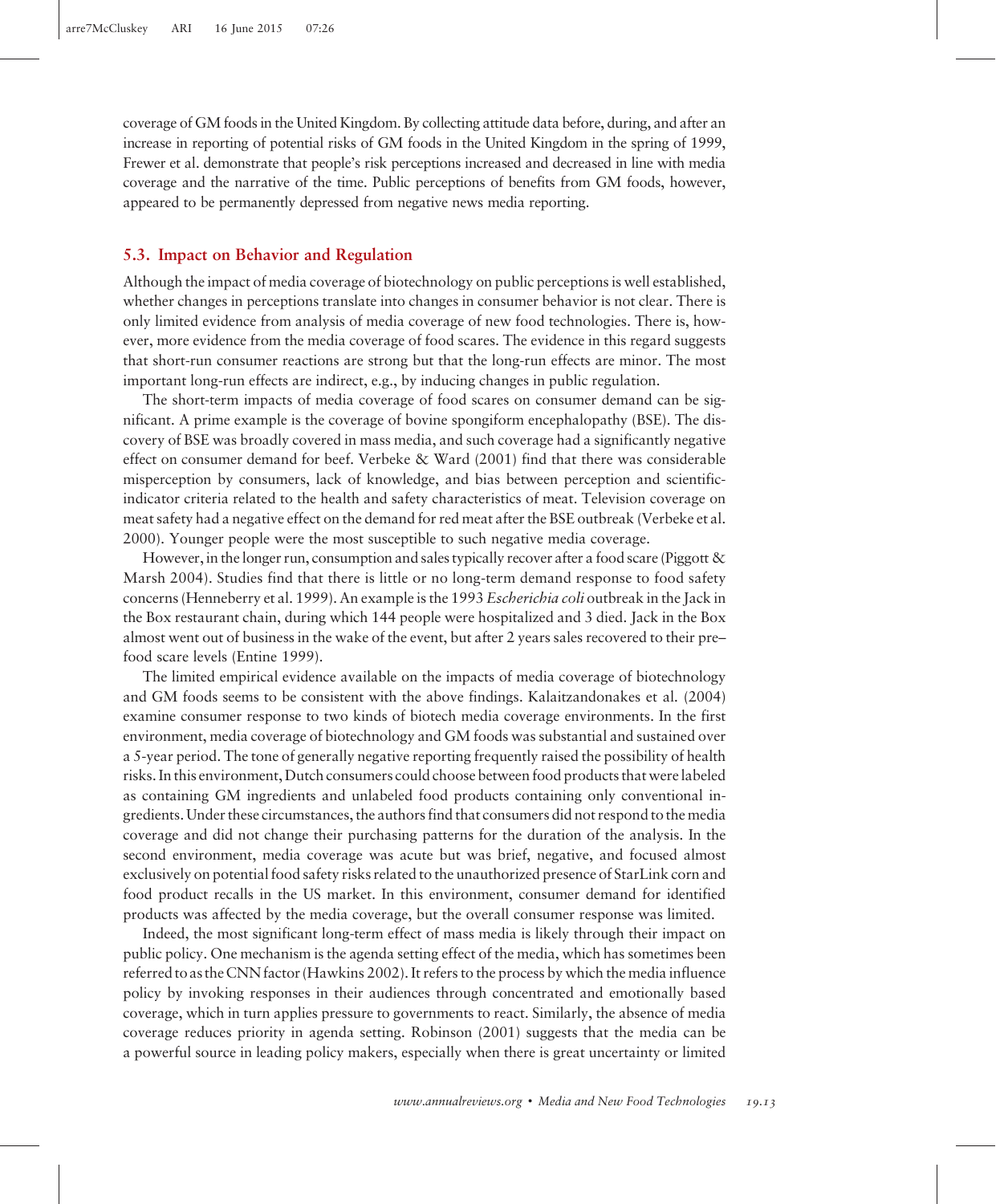coverage of GM foods in the United Kingdom. By collecting attitude data before, during, and after an increase in reporting of potential risks of GM foods in the United Kingdom in the spring of 1999, Frewer et al. demonstrate that people's risk perceptions increased and decreased in line with media coverage and the narrative of the time. Public perceptions of benefits from GM foods, however, appeared to be permanently depressed from negative news media reporting.

#### 5.3. Impact on Behavior and Regulation

Although the impact of media coverage of biotechnology on public perceptions is well established, whether changes in perceptions translate into changes in consumer behavior is not clear. There is only limited evidence from analysis of media coverage of new food technologies. There is, however, more evidence from the media coverage of food scares. The evidence in this regard suggests that short-run consumer reactions are strong but that the long-run effects are minor. The most important long-run effects are indirect, e.g., by inducing changes in public regulation.

The short-term impacts of media coverage of food scares on consumer demand can be significant. A prime example is the coverage of bovine spongiform encephalopathy (BSE). The discovery of BSE was broadly covered in mass media, and such coverage had a significantly negative effect on consumer demand for beef. Verbeke & Ward (2001) find that there was considerable misperception by consumers, lack of knowledge, and bias between perception and scientificindicator criteria related to the health and safety characteristics of meat. Television coverage on meat safety had a negative effect on the demand for red meat after the BSE outbreak (Verbeke et al. 2000). Younger people were the most susceptible to such negative media coverage.

However, in the longer run, consumption and sales typically recover after a food scare (Piggott & Marsh 2004). Studies find that there is little or no long-term demand response to food safety concerns (Henneberry et al. 1999). An example is the 1993 Escherichia coli outbreak in the Jack in the Box restaurant chain, during which 144 people were hospitalized and 3 died. Jack in the Box almost went out of business in the wake of the event, but after 2 years sales recovered to their pre– food scare levels (Entine 1999).

The limited empirical evidence available on the impacts of media coverage of biotechnology and GM foods seems to be consistent with the above findings. Kalaitzandonakes et al. (2004) examine consumer response to two kinds of biotech media coverage environments. In the first environment, media coverage of biotechnology and GM foods was substantial and sustained over a 5-year period. The tone of generally negative reporting frequently raised the possibility of health risks. In this environment, Dutch consumers could choose between food products that were labeled as containing GM ingredients and unlabeled food products containing only conventional ingredients. Under these circumstances, the authors find that consumers did not respond to the media coverage and did not change their purchasing patterns for the duration of the analysis. In the second environment, media coverage was acute but was brief, negative, and focused almost exclusively on potential food safety risks related to the unauthorized presence of StarLink corn and food product recalls in the US market. In this environment, consumer demand for identified products was affected by the media coverage, but the overall consumer response was limited.

Indeed, the most significant long-term effect of mass media is likely through their impact on public policy. One mechanism is the agenda setting effect of the media, which has sometimes been referred to as the CNN factor (Hawkins 2002). It refers to the process by which the media influence policy by invoking responses in their audiences through concentrated and emotionally based coverage, which in turn applies pressure to governments to react. Similarly, the absence of media coverage reduces priority in agenda setting. Robinson (2001) suggests that the media can be a powerful source in leading policy makers, especially when there is great uncertainty or limited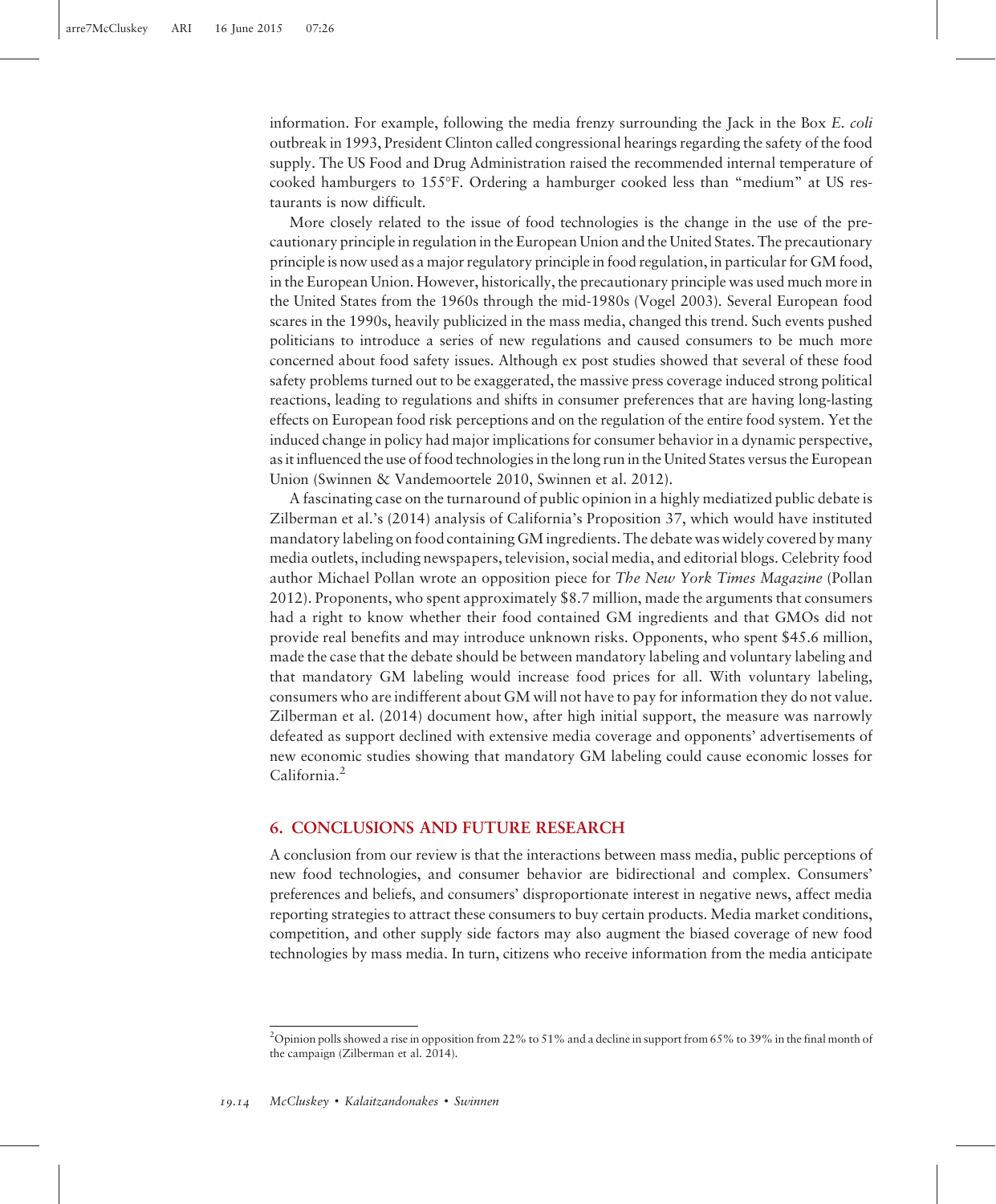information. For example, following the media frenzy surrounding the Jack in the Box E. coli outbreak in 1993, President Clinton called congressional hearings regarding the safety of the food supply. The US Food and Drug Administration raised the recommended internal temperature of cooked hamburgers to 155F. Ordering a hamburger cooked less than "medium" at US restaurants is now difficult.

More closely related to the issue of food technologies is the change in the use of the precautionary principle in regulation in the European Union and the United States. The precautionary principle is now used as a major regulatory principle in food regulation, in particular for GM food, in the European Union. However, historically, the precautionary principle was used much more in the United States from the 1960s through the mid-1980s (Vogel 2003). Several European food scares in the 1990s, heavily publicized in the mass media, changed this trend. Such events pushed politicians to introduce a series of new regulations and caused consumers to be much more concerned about food safety issues. Although ex post studies showed that several of these food safety problems turned out to be exaggerated, the massive press coverage induced strong political reactions, leading to regulations and shifts in consumer preferences that are having long-lasting effects on European food risk perceptions and on the regulation of the entire food system. Yet the induced change in policy had major implications for consumer behavior in a dynamic perspective, as it influenced the use of food technologies in the long run in the United States versus the European Union (Swinnen & Vandemoortele 2010, Swinnen et al. 2012).

A fascinating case on the turnaround of public opinion in a highly mediatized public debate is Zilberman et al.'s (2014) analysis of California's Proposition 37, which would have instituted mandatory labeling on food containing GM ingredients. The debate was widely covered by many media outlets, including newspapers, television, social media, and editorial blogs. Celebrity food author Michael Pollan wrote an opposition piece for The New York Times Magazine (Pollan 2012). Proponents, who spent approximately \$8.7 million, made the arguments that consumers had a right to know whether their food contained GM ingredients and that GMOs did not provide real benefits and may introduce unknown risks. Opponents, who spent \$45.6 million, made the case that the debate should be between mandatory labeling and voluntary labeling and that mandatory GM labeling would increase food prices for all. With voluntary labeling, consumers who are indifferent about GM will not have to pay for information they do not value. Zilberman et al. (2014) document how, after high initial support, the measure was narrowly defeated as support declined with extensive media coverage and opponents' advertisements of new economic studies showing that mandatory GM labeling could cause economic losses for California.<sup>2</sup>

# 6. CONCLUSIONS AND FUTURE RESEARCH

A conclusion from our review is that the interactions between mass media, public perceptions of new food technologies, and consumer behavior are bidirectional and complex. Consumers' preferences and beliefs, and consumers' disproportionate interest in negative news, affect media reporting strategies to attract these consumers to buy certain products. Media market conditions, competition, and other supply side factors may also augment the biased coverage of new food technologies by mass media. In turn, citizens who receive information from the media anticipate

<sup>2</sup> Opinion polls showed a rise in opposition from 22% to 51% and a decline in support from 65% to 39% in the final month of the campaign (Zilberman et al. 2014).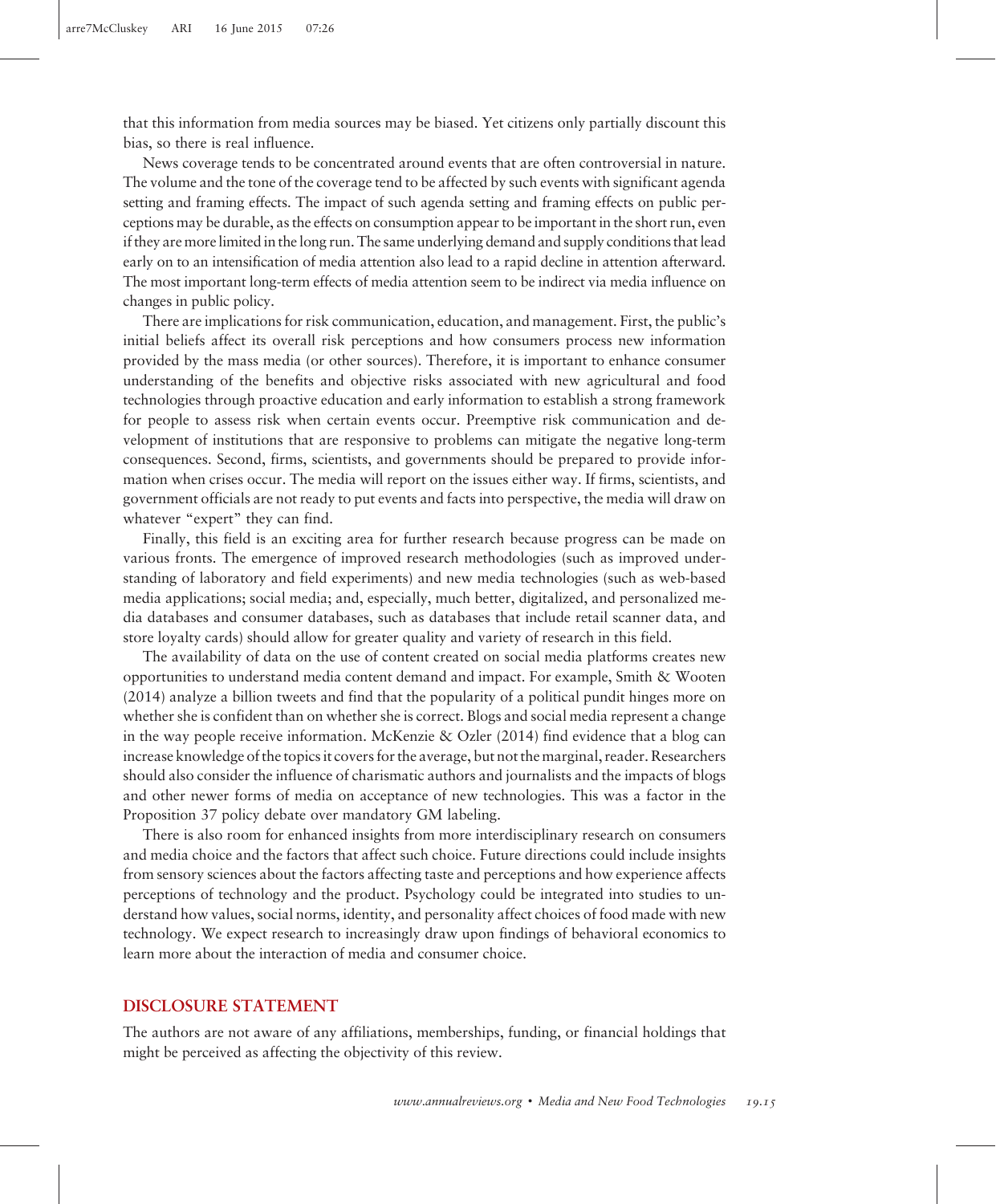that this information from media sources may be biased. Yet citizens only partially discount this bias, so there is real influence.

News coverage tends to be concentrated around events that are often controversial in nature. The volume and the tone of the coverage tend to be affected by such events with significant agenda setting and framing effects. The impact of such agenda setting and framing effects on public perceptions may be durable, as the effects on consumption appear to be important in the short run, even if they are more limited in the long run. The same underlying demand and supply conditions that lead early on to an intensification of media attention also lead to a rapid decline in attention afterward. The most important long-term effects of media attention seem to be indirect via media influence on changes in public policy.

There are implications for risk communication, education, and management. First, the public's initial beliefs affect its overall risk perceptions and how consumers process new information provided by the mass media (or other sources). Therefore, it is important to enhance consumer understanding of the benefits and objective risks associated with new agricultural and food technologies through proactive education and early information to establish a strong framework for people to assess risk when certain events occur. Preemptive risk communication and development of institutions that are responsive to problems can mitigate the negative long-term consequences. Second, firms, scientists, and governments should be prepared to provide information when crises occur. The media will report on the issues either way. If firms, scientists, and government officials are not ready to put events and facts into perspective, the media will draw on whatever "expert" they can find.

Finally, this field is an exciting area for further research because progress can be made on various fronts. The emergence of improved research methodologies (such as improved understanding of laboratory and field experiments) and new media technologies (such as web-based media applications; social media; and, especially, much better, digitalized, and personalized media databases and consumer databases, such as databases that include retail scanner data, and store loyalty cards) should allow for greater quality and variety of research in this field.

The availability of data on the use of content created on social media platforms creates new opportunities to understand media content demand and impact. For example, Smith & Wooten (2014) analyze a billion tweets and find that the popularity of a political pundit hinges more on whether she is confident than on whether she is correct. Blogs and social media represent a change in the way people receive information. McKenzie & Ozler (2014) find evidence that a blog can increase knowledge of the topics it covers for the average, but not the marginal, reader. Researchers should also consider the influence of charismatic authors and journalists and the impacts of blogs and other newer forms of media on acceptance of new technologies. This was a factor in the Proposition 37 policy debate over mandatory GM labeling.

There is also room for enhanced insights from more interdisciplinary research on consumers and media choice and the factors that affect such choice. Future directions could include insights from sensory sciences about the factors affecting taste and perceptions and how experience affects perceptions of technology and the product. Psychology could be integrated into studies to understand how values, social norms, identity, and personality affect choices of food made with new technology. We expect research to increasingly draw upon findings of behavioral economics to learn more about the interaction of media and consumer choice.

# DISCLOSURE STATEMENT

The authors are not aware of any affiliations, memberships, funding, or financial holdings that might be perceived as affecting the objectivity of this review.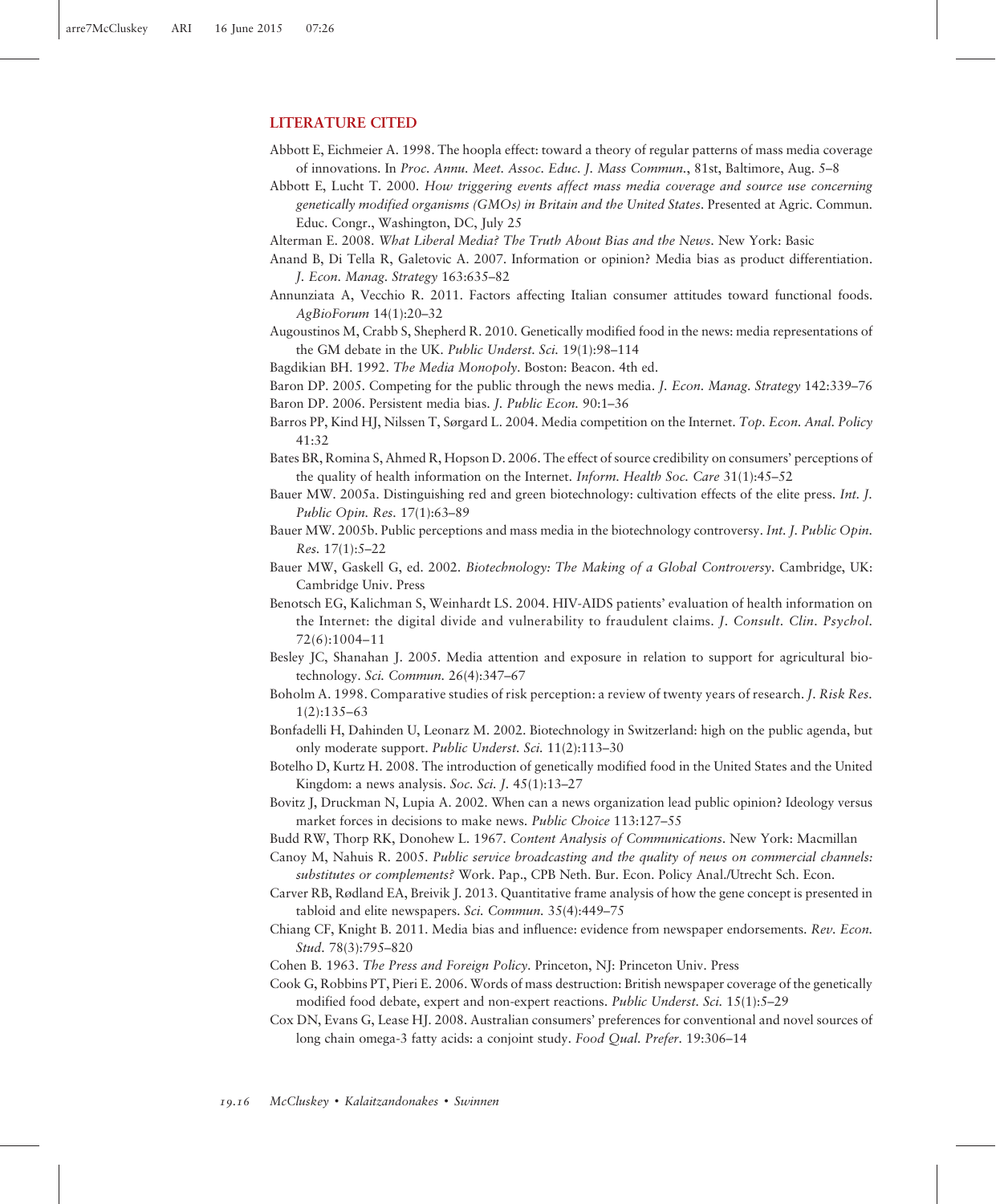#### LITERATURE CITED

- Abbott E, Eichmeier A. 1998. The hoopla effect: toward a theory of regular patterns of mass media coverage of innovations. In Proc. Annu. Meet. Assoc. Educ. J. Mass Commun., 81st, Baltimore, Aug. 5–8
- Abbott E, Lucht T. 2000. How triggering events affect mass media coverage and source use concerning genetically modified organisms (GMOs) in Britain and the United States. Presented at Agric. Commun. Educ. Congr., Washington, DC, July 25
- Alterman E. 2008. What Liberal Media? The Truth About Bias and the News. New York: Basic
- Anand B, Di Tella R, Galetovic A. 2007. Information or opinion? Media bias as product differentiation. J. Econ. Manag. Strategy 163:635–82
- Annunziata A, Vecchio R. 2011. Factors affecting Italian consumer attitudes toward functional foods. AgBioForum 14(1):20–32
- Augoustinos M, Crabb S, Shepherd R. 2010. Genetically modified food in the news: media representations of the GM debate in the UK. Public Underst. Sci. 19(1):98–114
- Bagdikian BH. 1992. The Media Monopoly. Boston: Beacon. 4th ed.
- Baron DP. 2005. Competing for the public through the news media. J. Econ. Manag. Strategy 142:339–76 Baron DP. 2006. Persistent media bias. J. Public Econ. 90:1–36
- Barros PP, Kind HJ, Nilssen T, Sørgard L. 2004. Media competition on the Internet. Top. Econ. Anal. Policy 41:32
- Bates BR, Romina S, Ahmed R, Hopson D. 2006. The effect of source credibility on consumers' perceptions of the quality of health information on the Internet. Inform. Health Soc. Care 31(1):45-52
- Bauer MW. 2005a. Distinguishing red and green biotechnology: cultivation effects of the elite press. Int. J. Public Opin. Res. 17(1):63–89
- Bauer MW. 2005b. Public perceptions and mass media in the biotechnology controversy. Int. J. Public Opin. Res. 17(1):5–22
- Bauer MW, Gaskell G, ed. 2002. Biotechnology: The Making of a Global Controversy. Cambridge, UK: Cambridge Univ. Press
- Benotsch EG, Kalichman S, Weinhardt LS. 2004. HIV-AIDS patients' evaluation of health information on the Internet: the digital divide and vulnerability to fraudulent claims. J. Consult. Clin. Psychol. 72(6):1004–11
- Besley JC, Shanahan J. 2005. Media attention and exposure in relation to support for agricultural biotechnology. Sci. Commun. 26(4):347–67
- Boholm A. 1998. Comparative studies of risk perception: a review of twenty years of research. J. Risk Res. 1(2):135–63
- Bonfadelli H, Dahinden U, Leonarz M. 2002. Biotechnology in Switzerland: high on the public agenda, but only moderate support. Public Underst. Sci. 11(2):113–30
- Botelho D, Kurtz H. 2008. The introduction of genetically modified food in the United States and the United Kingdom: a news analysis. Soc. Sci. J. 45(1):13–27
- Bovitz J, Druckman N, Lupia A. 2002. When can a news organization lead public opinion? Ideology versus market forces in decisions to make news. Public Choice 113:127-55
- Budd RW, Thorp RK, Donohew L. 1967. Content Analysis of Communications. New York: Macmillan
- Canoy M, Nahuis R. 2005. Public service broadcasting and the quality of news on commercial channels: substitutes or complements? Work. Pap., CPB Neth. Bur. Econ. Policy Anal./Utrecht Sch. Econ.
- Carver RB, Rødland EA, Breivik J. 2013. Quantitative frame analysis of how the gene concept is presented in tabloid and elite newspapers. Sci. Commun. 35(4):449–75
- Chiang CF, Knight B. 2011. Media bias and influence: evidence from newspaper endorsements. Rev. Econ. Stud. 78(3):795–820
- Cohen B. 1963. The Press and Foreign Policy. Princeton, NJ: Princeton Univ. Press
- Cook G, Robbins PT, Pieri E. 2006. Words of mass destruction: British newspaper coverage of the genetically modified food debate, expert and non-expert reactions. Public Underst. Sci. 15(1):5–29
- Cox DN, Evans G, Lease HJ. 2008. Australian consumers' preferences for conventional and novel sources of long chain omega-3 fatty acids: a conjoint study. Food Qual. Prefer. 19:306-14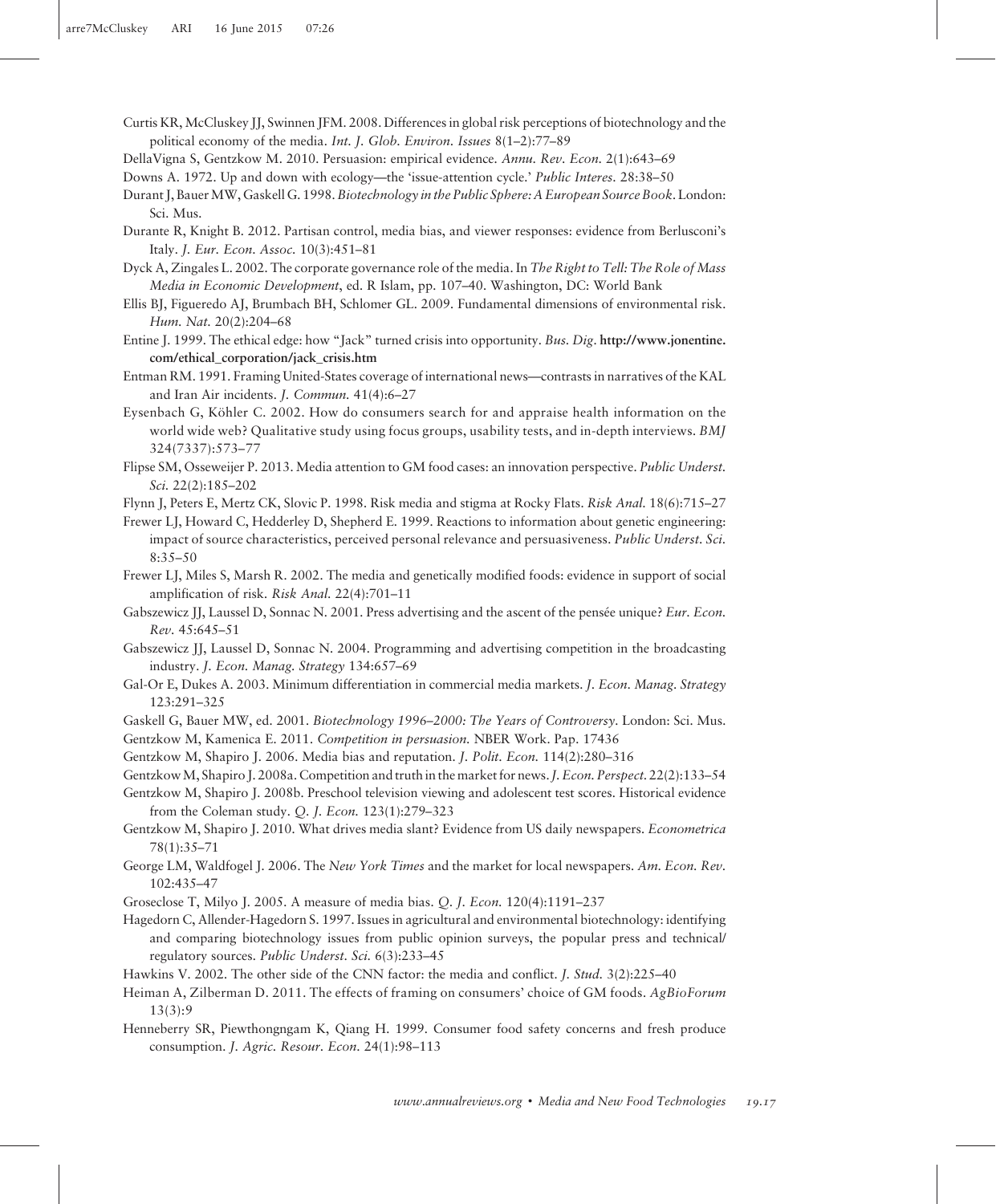- Curtis KR, McCluskey JJ, Swinnen JFM. 2008. Differences in global risk perceptions of biotechnology and the political economy of the media. Int. J. Glob. Environ. Issues 8(1–2):77–89
- DellaVigna S, Gentzkow M. 2010. Persuasion: empirical evidence. Annu. Rev. Econ. 2(1):643–69

Downs A. 1972. Up and down with ecology—the 'issue-attention cycle.' Public Interes. 28:38–50

- Durant J, Bauer MW, Gaskell G. 1998. Biotechnology in the Public Sphere: A European Source Book. London: Sci. Mus.
- Durante R, Knight B. 2012. Partisan control, media bias, and viewer responses: evidence from Berlusconi's Italy. J. Eur. Econ. Assoc. 10(3):451–81
- Dyck A, Zingales L. 2002. The corporate governance role of the media. In The Right to Tell: The Role of Mass Media in Economic Development, ed. R Islam, pp. 107–40. Washington, DC: World Bank
- Ellis BJ, Figueredo AJ, Brumbach BH, Schlomer GL. 2009. Fundamental dimensions of environmental risk. Hum. Nat. 20(2):204–68
- Entine J. 1999. The ethical edge: how "Jack" turned crisis into opportunity. Bus. Dig. [http://www.jonentine.](http://www.jonentine.com/ethical_corporation/jack_crisis.htm) [com/ethical\\_corporation/jack\\_crisis.htm](http://www.jonentine.com/ethical_corporation/jack_crisis.htm)
- Entman RM. 1991. Framing United-States coverage of international news—contrasts in narratives of the KAL and Iran Air incidents. J. Commun. 41(4):6–27
- Eysenbach G, Köhler C. 2002. How do consumers search for and appraise health information on the world wide web? Qualitative study using focus groups, usability tests, and in-depth interviews. BMJ 324(7337):573–77
- Flipse SM, Osseweijer P. 2013. Media attention to GM food cases: an innovation perspective. Public Underst. Sci. 22(2):185–202

Flynn J, Peters E, Mertz CK, Slovic P. 1998. Risk media and stigma at Rocky Flats. Risk Anal. 18(6):715–27

Frewer LJ, Howard C, Hedderley D, Shepherd E. 1999. Reactions to information about genetic engineering: impact of source characteristics, perceived personal relevance and persuasiveness. Public Underst. Sci. 8:35–50

- Frewer LJ, Miles S, Marsh R. 2002. The media and genetically modified foods: evidence in support of social amplification of risk. Risk Anal. 22(4):701–11
- Gabszewicz JJ, Laussel D, Sonnac N. 2001. Press advertising and the ascent of the pensée unique? Eur. Econ. Rev. 45:645–51
- Gabszewicz JJ, Laussel D, Sonnac N. 2004. Programming and advertising competition in the broadcasting industry. J. Econ. Manag. Strategy 134:657–69
- Gal-Or E, Dukes A. 2003. Minimum differentiation in commercial media markets. J. Econ. Manag. Strategy 123:291–325
- Gaskell G, Bauer MW, ed. 2001. Biotechnology 1996–2000: The Years of Controversy. London: Sci. Mus.

Gentzkow M, Kamenica E. 2011. Competition in persuasion. NBER Work. Pap. 17436

Gentzkow M, Shapiro J. 2006. Media bias and reputation. *J. Polit. Econ.* 114(2):280–316

- GentzkowM, Shapiro J. 2008a. Competition and truth in the market for news.J. Econ. Perspect. 22(2):133–54
- Gentzkow M, Shapiro J. 2008b. Preschool television viewing and adolescent test scores. Historical evidence from the Coleman study. Q. J. Econ. 123(1):279–323
- Gentzkow M, Shapiro J. 2010. What drives media slant? Evidence from US daily newspapers. Econometrica 78(1):35–71
- George LM, Waldfogel J. 2006. The New York Times and the market for local newspapers. Am. Econ. Rev. 102:435–47

Groseclose T, Milyo J. 2005. A measure of media bias. Q. J. Econ. 120(4):1191–237

- Hagedorn C, Allender-Hagedorn S. 1997. Issues in agricultural and environmental biotechnology: identifying and comparing biotechnology issues from public opinion surveys, the popular press and technical/ regulatory sources. Public Underst. Sci. 6(3):233–45
- Hawkins V. 2002. The other side of the CNN factor: the media and conflict. J. Stud. 3(2):225–40
- Heiman A, Zilberman D. 2011. The effects of framing on consumers' choice of GM foods. AgBioForum  $13(3):9$
- Henneberry SR, Piewthongngam K, Qiang H. 1999. Consumer food safety concerns and fresh produce consumption. J. Agric. Resour. Econ. 24(1):98–113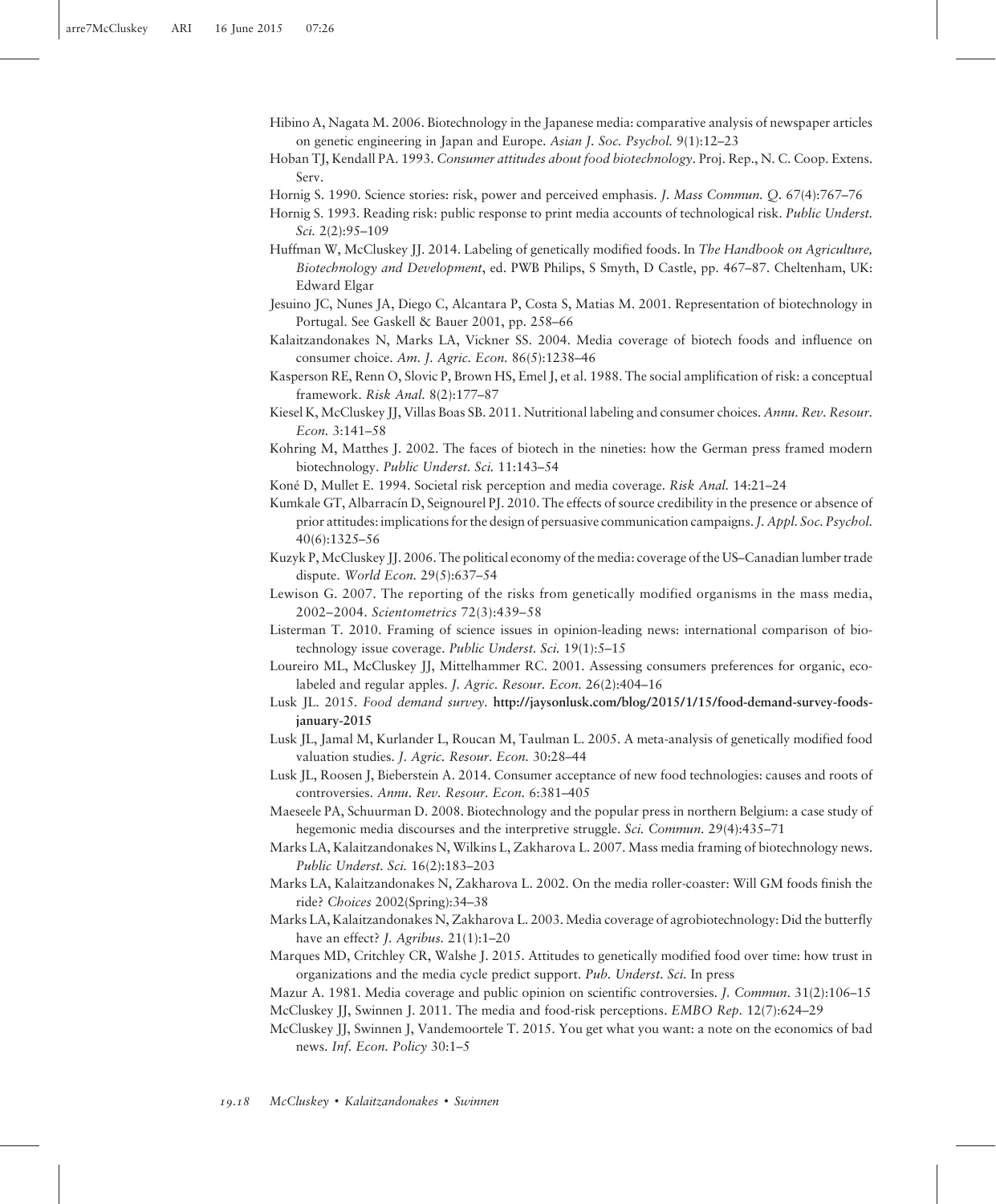- Hibino A, Nagata M. 2006. Biotechnology in the Japanese media: comparative analysis of newspaper articles on genetic engineering in Japan and Europe. Asian J. Soc. Psychol. 9(1):12–23
- Hoban TJ, Kendall PA. 1993. Consumer attitudes about food biotechnology. Proj. Rep., N. C. Coop. Extens. Serv.
- Hornig S. 1990. Science stories: risk, power and perceived emphasis. J. Mass Commun. Q. 67(4):767-76
- Hornig S. 1993. Reading risk: public response to print media accounts of technological risk. Public Underst. Sci. 2(2):95–109
- Huffman W, McCluskey JJ. 2014. Labeling of genetically modified foods. In The Handbook on Agriculture, Biotechnology and Development, ed. PWB Philips, S Smyth, D Castle, pp. 467–87. Cheltenham, UK: Edward Elgar
- Jesuino JC, Nunes JA, Diego C, Alcantara P, Costa S, Matias M. 2001. Representation of biotechnology in Portugal. See Gaskell & Bauer 2001, pp. 258–66
- Kalaitzandonakes N, Marks LA, Vickner SS. 2004. Media coverage of biotech foods and influence on consumer choice. Am. J. Agric. Econ. 86(5):1238–46
- Kasperson RE, Renn O, Slovic P, Brown HS, Emel J, et al. 1988. The social amplification of risk: a conceptual framework. Risk Anal. 8(2):177–87
- Kiesel K, McCluskey JJ, Villas Boas SB. 2011. Nutritional labeling and consumer choices. Annu. Rev. Resour. Econ. 3:141–58
- Kohring M, Matthes J. 2002. The faces of biotech in the nineties: how the German press framed modern biotechnology. Public Underst. Sci. 11:143–54
- Koné D, Mullet E. 1994. Societal risk perception and media coverage. Risk Anal. 14:21–24
- Kumkale GT, Albarracín D, Seignourel PJ. 2010. The effects of source credibility in the presence or absence of prior attitudes: implications for the design of persuasive communication campaigns.J. Appl. Soc. Psychol. 40(6):1325–56
- Kuzyk P, McCluskey JJ. 2006. The political economy of the media: coverage of the US–Canadian lumber trade dispute. World Econ. 29(5):637–54
- Lewison G. 2007. The reporting of the risks from genetically modified organisms in the mass media, 2002–2004. Scientometrics 72(3):439–58
- Listerman T. 2010. Framing of science issues in opinion-leading news: international comparison of biotechnology issue coverage. Public Underst. Sci. 19(1):5–15
- Loureiro ML, McCluskey JJ, Mittelhammer RC. 2001. Assessing consumers preferences for organic, ecolabeled and regular apples. J. Agric. Resour. Econ. 26(2):404–16
- Lusk JL. 2015. Food demand survey. [http://jaysonlusk.com/blog/2015/1/15/food-demand-survey-foods](http://jaysonlusk.com/blog/2015/1/15/food-demand-survey-foods-january-2015)[january-2015](http://jaysonlusk.com/blog/2015/1/15/food-demand-survey-foods-january-2015)
- Lusk JL, Jamal M, Kurlander L, Roucan M, Taulman L. 2005. A meta-analysis of genetically modified food valuation studies. J. Agric. Resour. Econ. 30:28–44
- Lusk JL, Roosen J, Bieberstein A. 2014. Consumer acceptance of new food technologies: causes and roots of controversies. Annu. Rev. Resour. Econ. 6:381–405
- Maeseele PA, Schuurman D. 2008. Biotechnology and the popular press in northern Belgium: a case study of hegemonic media discourses and the interpretive struggle. Sci. Commun. 29(4):435–71
- Marks LA, Kalaitzandonakes N, Wilkins L, Zakharova L. 2007. Mass media framing of biotechnology news. Public Underst. Sci. 16(2):183–203
- Marks LA, Kalaitzandonakes N, Zakharova L. 2002. On the media roller-coaster: Will GM foods finish the ride? Choices 2002(Spring):34–38
- Marks LA, Kalaitzandonakes N, Zakharova L. 2003. Media coverage of agrobiotechnology: Did the butterfly have an effect? *J. Agribus.* 21(1):1-20
- Marques MD, Critchley CR, Walshe J. 2015. Attitudes to genetically modified food over time: how trust in organizations and the media cycle predict support. Pub. Underst. Sci. In press
- Mazur A. 1981. Media coverage and public opinion on scientific controversies. J. Commun. 31(2):106–15 McCluskey JJ, Swinnen J. 2011. The media and food-risk perceptions. EMBO Rep. 12(7):624–29
- McCluskey JJ, Swinnen J, Vandemoortele T. 2015. You get what you want: a note on the economics of bad news. Inf. Econ. Policy 30:1–5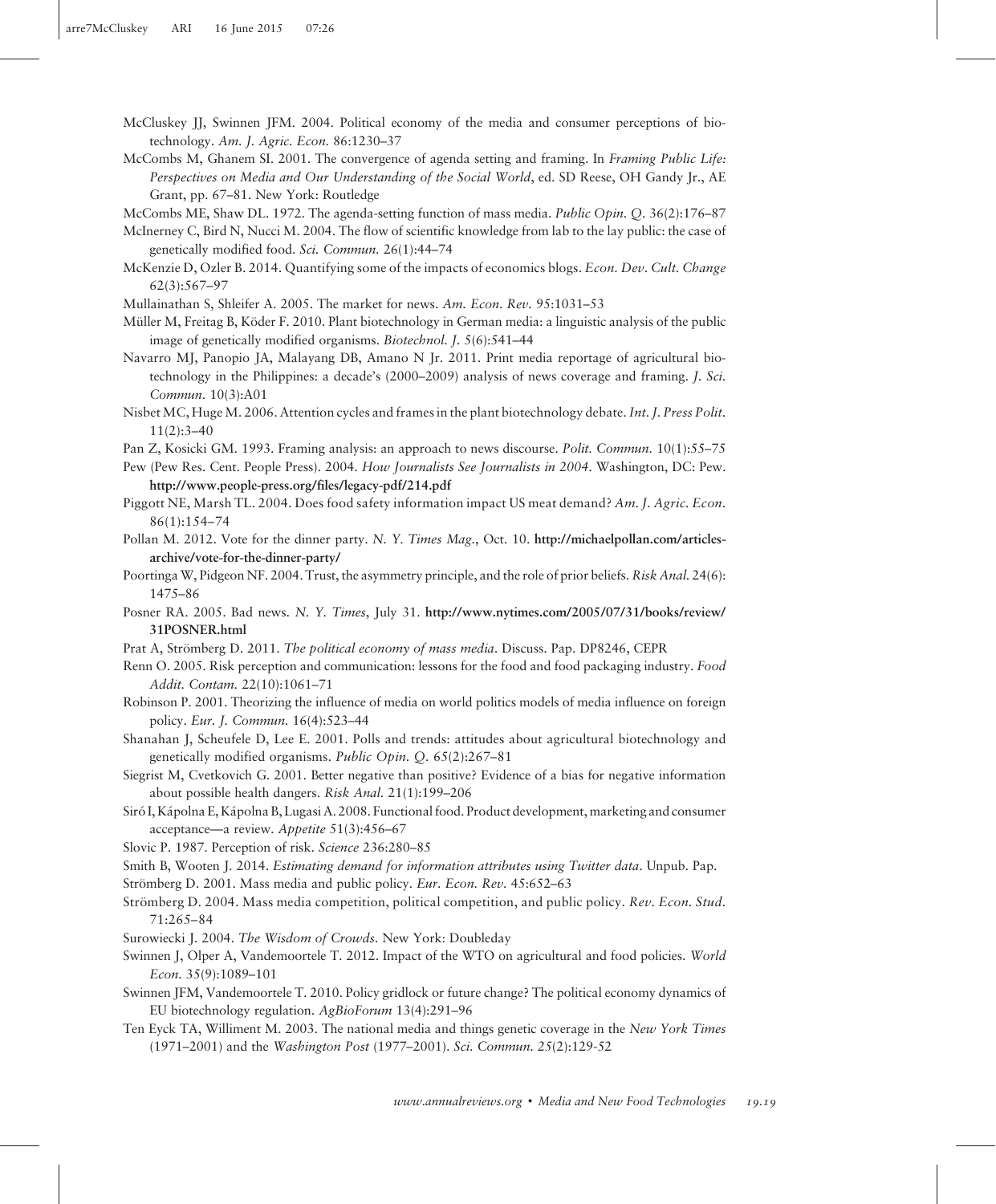- McCluskey JJ, Swinnen JFM. 2004. Political economy of the media and consumer perceptions of biotechnology. Am. J. Agric. Econ. 86:1230–37
- McCombs M, Ghanem SI. 2001. The convergence of agenda setting and framing. In Framing Public Life: Perspectives on Media and Our Understanding of the Social World, ed. SD Reese, OH Gandy Jr., AE Grant, pp. 67–81. New York: Routledge

McCombs ME, Shaw DL. 1972. The agenda-setting function of mass media. Public Opin. Q. 36(2):176–87

- McInerney C, Bird N, Nucci M. 2004. The flow of scientific knowledge from lab to the lay public: the case of genetically modified food. Sci. Commun. 26(1):44–74
- McKenzie D, Ozler B. 2014. Quantifying some of the impacts of economics blogs. Econ. Dev. Cult. Change 62(3):567–97

Mullainathan S, Shleifer A. 2005. The market for news. Am. Econ. Rev. 95:1031–53

- Müller M, Freitag B, Köder F. 2010. Plant biotechnology in German media: a linguistic analysis of the public image of genetically modified organisms. Biotechnol. J. 5(6):541–44
- Navarro MJ, Panopio JA, Malayang DB, Amano N Jr. 2011. Print media reportage of agricultural biotechnology in the Philippines: a decade's (2000–2009) analysis of news coverage and framing. J. Sci. Commun. 10(3):A01
- Nisbet MC, Huge M. 2006. Attention cycles and frames in the plant biotechnology debate. Int. J. Press Polit. 11(2):3–40
- Pan Z, Kosicki GM. 1993. Framing analysis: an approach to news discourse. *Polit. Commun.* 10(1):55–75
- Pew (Pew Res. Cent. People Press). 2004. How Journalists See Journalists in 2004. Washington, DC: Pew. <http://www.people-press.org/files/legacy-pdf/214.pdf>
- Piggott NE, Marsh TL. 2004. Does food safety information impact US meat demand? Am. J. Agric. Econ. 86(1):154–74
- Pollan M. 2012. Vote for the dinner party. N. Y. Times Mag., Oct. 10. [http://michaelpollan.com/articles](http://michaelpollan.com/articles-archive/vote-for-the-dinner-party/)[archive/vote-for-the-dinner-party/](http://michaelpollan.com/articles-archive/vote-for-the-dinner-party/)
- Poortinga W, Pidgeon NF. 2004. Trust, the asymmetry principle, and the role of prior beliefs. Risk Anal. 24(6): 1475–86
- Posner RA. 2005. Bad news. N. Y. Times, July 31. [http://www.nytimes.com/2005/07/31/books/review/](http://www.nytimes.com/2005/07/31/books/review/31POSNER.html) [31POSNER.html](http://www.nytimes.com/2005/07/31/books/review/31POSNER.html)
- Prat A, Strömberg D. 2011. The political economy of mass media. Discuss. Pap. DP8246, CEPR
- Renn O. 2005. Risk perception and communication: lessons for the food and food packaging industry. Food Addit. Contam. 22(10):1061–71
- Robinson P. 2001. Theorizing the influence of media on world politics models of media influence on foreign policy. Eur. J. Commun. 16(4):523–44
- Shanahan J, Scheufele D, Lee E. 2001. Polls and trends: attitudes about agricultural biotechnology and genetically modified organisms. Public Opin. Q. 65(2):267–81
- Siegrist M, Cvetkovich G. 2001. Better negative than positive? Evidence of a bias for negative information about possible health dangers. Risk Anal. 21(1):199–206
- Siró I, Kápolna E, Kápolna B, Lugasi A. 2008. Functional food. Product development, marketing and consumer acceptance—a review. Appetite 51(3):456–67
- Slovic P. 1987. Perception of risk. Science 236:280–85
- Smith B, Wooten J. 2014. *Estimating demand for information attributes using Twitter data*. Unpub. Pap.
- Strömberg D. 2001. Mass media and public policy. Eur. Econ. Rev. 45:652–63
- Strömberg D. 2004. Mass media competition, political competition, and public policy. Rev. Econ. Stud. 71:265–84
- Surowiecki J. 2004. The Wisdom of Crowds. New York: Doubleday
- Swinnen J, Olper A, Vandemoortele T. 2012. Impact of the WTO on agricultural and food policies. World Econ. 35(9):1089–101
- Swinnen JFM, Vandemoortele T. 2010. Policy gridlock or future change? The political economy dynamics of EU biotechnology regulation. AgBioForum 13(4):291–96
- Ten Eyck TA, Williment M. 2003. The national media and things genetic coverage in the New York Times (1971–2001) and the Washington Post (1977–2001). Sci. Commun. 25(2):129-52